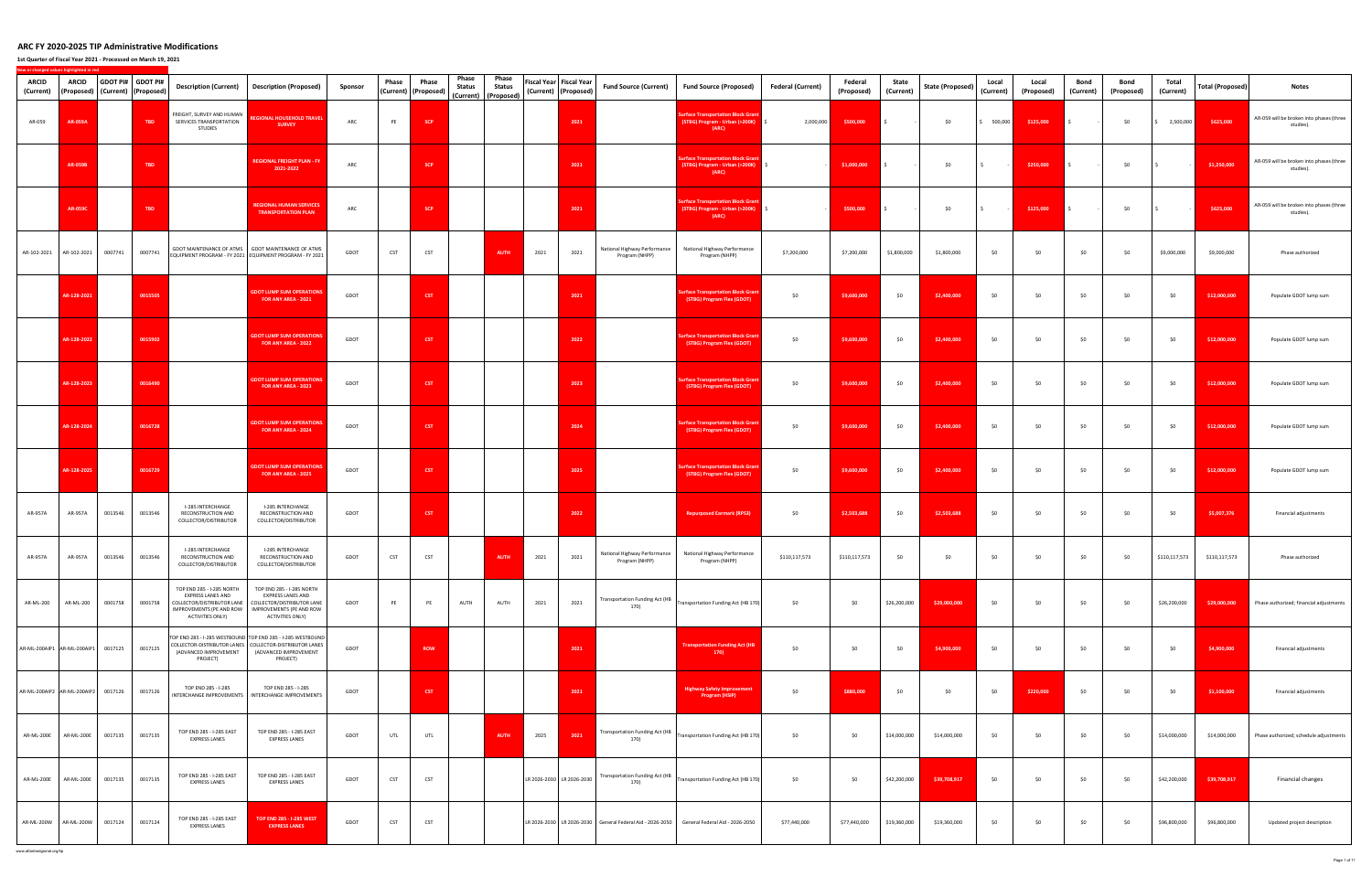**1st Quarter of Fiscal Year 2021 ‐ Processed on March 19, 2021**

**New**

**or changed values highlighted in red**

| <b>ARCID</b><br>(Current) | <b>ARCID</b><br>(Proposed)  |         | GDOT PI# GDOT PI#<br>(Current) (Proposed) | <b>Description (Current)</b>                                                                                                        | <b>Description (Proposed)</b>                                                                                                                               | Sponsor | Phase      | Phase<br>(Current) (Proposed) | Phase<br>Status | Phase<br><b>Status</b><br>(Current) (Proposed) |      | Fiscal Year   Fiscal Year<br>(Current) (Proposed) | Fund Source (Current)                          | Fund Source (Proposed)                                                                          | Federal (Current) | Federal<br>(Proposed) | State<br>(Current) | State (Proposed) | Local<br>(Current)      | Local<br>(Proposed) | Bond<br>(Current) | Bond<br>(Proposed) | Total<br>(Current) | <b>Total (Proposed)</b> | Notes                                                 |
|---------------------------|-----------------------------|---------|-------------------------------------------|-------------------------------------------------------------------------------------------------------------------------------------|-------------------------------------------------------------------------------------------------------------------------------------------------------------|---------|------------|-------------------------------|-----------------|------------------------------------------------|------|---------------------------------------------------|------------------------------------------------|-------------------------------------------------------------------------------------------------|-------------------|-----------------------|--------------------|------------------|-------------------------|---------------------|-------------------|--------------------|--------------------|-------------------------|-------------------------------------------------------|
| AR-059                    | AR-059A                     |         | TBD                                       | FREIGHT, SURVEY AND HUMAN<br>SERVICES TRANSPORTATION<br><b>STUDIES</b>                                                              | <b>REGIONAL HOUSEHOLD TRAVEL</b><br><b>SURVEY</b>                                                                                                           | ARC     | PE         | <b>SCP</b>                    |                 |                                                |      | 2021                                              |                                                | <b>Surface Transportation Block Gran</b><br>(STBG) Program - Urban (>200K)<br>(ARC)             | 2,000,000         | \$500,000             | $\mathsf{S}$       | \$0              | 500,000<br>$\mathsf{S}$ | \$125,000           | $\mathsf{S}$      | \$0                | 2,500,000          | \$625,000               | AR-059 will be broken into phases (three<br>studies). |
|                           | <b>AR-059B</b>              |         | <b>TBD</b>                                |                                                                                                                                     | <b>REGIONAL FREIGHT PLAN - FY</b><br>2021-2022                                                                                                              | ARC     |            | <b>SCP</b>                    |                 |                                                |      | 2021                                              |                                                | <b>Surface Transportation Block Grant</b><br>(STBG) Program - Urban (>200K)   \$<br>(ARC)       |                   | \$1,000,000           | $\sim$             | \$0              | $\vert$ \$              | \$250,000           | $\sim$            | \$0                | $\sim$             | \$1,250,000             | AR-059 will be broken into phases (three<br>studies). |
|                           | <b>AR-059C</b>              |         | TBD                                       |                                                                                                                                     | <b>REGIONAL HUMAN SERVICES</b><br><b>TRANSPORTATION PLAN</b>                                                                                                | ARC     |            | <b>SCP</b>                    |                 |                                                |      | 2021                                              |                                                | <b>Surface Transportation Block Grant</b><br>(STBG) Program - Urban (>200K)<br>(ARC)            |                   | \$500,000             | $\mathsf{S}$       | \$0              | $\vert$ \$              | \$125,000           | $\sim$            | \$0                | s.                 | \$625,000               | AR-059 will be broken into phases (three<br>studies). |
|                           | AR-102-2021 AR-102-2021     | 0007741 | 0007741                                   |                                                                                                                                     | GDOT MAINTENANCE OF ATMS   GDOT MAINTENANCE OF ATMS<br>EQUIPMENT PROGRAM - FY 2021 EQUIPMENT PROGRAM - FY 2021                                              | GDOT    | <b>CST</b> | CST                           |                 | <b>AUTH</b>                                    | 2021 | 2021                                              | National Highway Performance<br>Program (NHPP) | National Highway Performance<br>Program (NHPP)                                                  | \$7,200,000       | \$7,200,000           | \$1,800,000        | \$1,800,000      | \$0                     | \$0                 | \$0               | \$0                | \$9,000,000        | \$9,000,000             | Phase authorized                                      |
|                           | AR-128-2021                 |         | 0015505                                   |                                                                                                                                     | <b>GDOT LUMP SUM OPERATIONS</b><br>FOR ANY AREA - 2021                                                                                                      | GDOT    |            | CST                           |                 |                                                |      | 2021                                              |                                                | <b>Surface Transportation Block Grant</b><br>(STBG) Program Flex (GDOT)                         | \$0               | \$9,600,000           | \$0                | \$2,400,000      | \$0                     | \$0                 | \$0               | \$0                | \$0                | \$12,000,000            | Populate GDOT lump sum                                |
|                           | AR-128-2022                 |         | 0015902                                   |                                                                                                                                     | <b>GDOT LUMP SUM OPERATIONS</b><br>FOR ANY AREA - 2022                                                                                                      | GDOT    |            | <b>CST</b>                    |                 |                                                |      | 2022                                              |                                                | <b>Surface Transportation Block Grant</b><br>(STBG) Program Flex (GDOT)                         | \$0               | \$9,600,000           | \$0                | \$2,400,000      | \$0                     | \$0                 | \$0               | \$0                | \$0                | \$12,000,000            | Populate GDOT lump sum                                |
|                           | AR-128-2023                 |         | 0016490                                   |                                                                                                                                     | <b>GDOT LUMP SUM OPERATIONS</b><br>FOR ANY AREA - 2023                                                                                                      | GDOT    |            | <b>CST</b>                    |                 |                                                |      | 2023                                              |                                                | <b>Surface Transportation Block Grant</b><br>(STBG) Program Flex (GDOT)                         | \$0               | \$9,600,000           | \$0                | \$2,400,000      | \$0                     | \$0                 | \$0               | \$0                | \$0                | \$12,000,000            | Populate GDOT lump sum                                |
|                           | AR-128-2024                 |         | 0016728                                   |                                                                                                                                     | <b>GDOT LUMP SUM OPERATIONS</b><br>FOR ANY AREA - 2024                                                                                                      | GDOT    |            | <b>CST</b>                    |                 |                                                |      | 2024                                              |                                                | <b>Surface Transportation Block Grant</b><br>(STBG) Program Flex (GDOT)                         | \$0               | \$9,600,000           | \$0                | \$2,400,000      | \$0                     | \$0                 | \$0               | \$0                | \$0                | \$12,000,000            | Populate GDOT lump sum                                |
|                           | AR-128-2025                 |         | 0016729                                   |                                                                                                                                     | <b>GDOT LUMP SUM OPERATIONS</b><br>FOR ANY AREA - 2025                                                                                                      | GDOT    |            | <b>CST</b>                    |                 |                                                |      | 2025                                              |                                                | <b>Surface Transportation Block Grant</b><br>(STBG) Program Flex (GDOT)                         | \$0               | \$9,600,000           | \$0                | \$2,400,000      | \$0                     | \$0                 | \$0               | \$0                | \$0                | \$12,000,000            | Populate GDOT lump sum                                |
| AR-957A                   | AR-957A                     | 0013546 | 0013546                                   | I-285 INTERCHANGE<br>RECONSTRUCTION AND<br>COLLECTOR/DISTRIBUTOR                                                                    | I-285 INTERCHANGE<br>RECONSTRUCTION AND<br>COLLECTOR/DISTRIBUTOR                                                                                            | GDOT    |            | <b>CST</b>                    |                 |                                                |      | 2022                                              |                                                | <b>Repurposed Earmark (RPS3)</b>                                                                | \$0               | \$2,503,688           | \$0                | \$2,503,688      | \$0                     | \$0                 | \$0               | \$0                | \$0                | \$5,007,376             | Financial adjustments                                 |
| AR-957A                   | AR-957A                     | 0013546 | 0013546                                   | I-285 INTERCHANGE<br>RECONSTRUCTION AND<br>COLLECTOR/DISTRIBUTOR                                                                    | I-285 INTERCHANGE<br>RECONSTRUCTION AND<br>COLLECTOR/DISTRIBUTOR                                                                                            | GDOT    | CST        | CST                           |                 | <b>AUTH</b>                                    | 2021 | 2021                                              | National Highway Performance<br>Program (NHPP) | National Highway Performance<br>Program (NHPP)                                                  | \$110,117,573     | \$110,117,573         | \$0                | \$0              | \$0                     | \$0                 | \$0               | \$0                | \$110,117,573      | \$110,117,573           | Phase authorized                                      |
| AR-ML-200                 | AR-ML-200                   | 0001758 | 0001758                                   | TOP END 285 - I-285 NORTH<br><b>EXPRESS LANES AND</b><br>COLLECTOR/DISTRIBUTOR LANE<br>IMPROVEMENTS (PE AND ROW<br>ACTIVITIES ONLY) | TOP END 285 - I-285 NORTH<br>EXPRESS LANES AND<br>COLLECTOR/DISTRIBUTOR LANE<br>IMPROVEMENTS (PE AND ROW<br>ACTIVITIES ONLY)                                | GDOT    | PE         | PE                            | AUTH            | AUTH                                           | 2021 | 2021                                              | <b>Transportation Funding Act (HB</b><br>170)  | Transportation Funding Act (HB 170)                                                             | \$0               | \$0                   | \$26,200,000       | \$29,000,000     | \$0                     | \$0                 | \$0               | \$0                | \$26,200,000       | \$29,000,000            | Phase authorized; financial adjustments               |
|                           | AR-ML-200AIP1 AR-ML-200AIP1 | 0017125 | 0017125                                   | (ADVANCED IMPROVEMENT<br>PROJECT)                                                                                                   | TOP END 285 - I-285 WESTBOUND TOP END 285 - I-285 WESTBOUND<br>COLLECTOR-DISTRIBUTOR LANES COLLECTOR-DISTRIBUTOR LANES<br>(ADVANCED IMPROVEMENT<br>PROJECT) | GDOT    |            | <b>ROW</b>                    |                 |                                                |      | 2021                                              |                                                | <b>Transportation Funding Act (HB</b><br>170)                                                   | \$0               | \$0                   | \$0                | \$4,900,000      | \$0                     | \$0                 | \$0               | \$0                | \$0                | \$4,900,000             | Financial adjustments                                 |
|                           | AR-ML-200AIP2 AR-ML-200AIP2 | 0017126 | 0017126                                   | TOP END 285 - I-285                                                                                                                 | TOP END 285 - I-285<br>INTERCHANGE IMPROVEMENTS   INTERCHANGE IMPROVEMENTS                                                                                  | GDOT    |            | <b>CST</b>                    |                 |                                                |      | 2021                                              |                                                | <b>Highway Safety Improvement</b><br>Program (HSIP)                                             | \$0               | \$880,000             | \$0                | \$0              | \$0                     | \$220,000           | \$0               | \$0                | \$0                | \$1,100,000             | Financial adjustments                                 |
| AR-ML-200E                | <b>AR-ML-200E</b>           | 0017135 | 0017135                                   | TOP END 285 - I-285 EAST<br><b>EXPRESS LANES</b>                                                                                    | TOP END 285 - I-285 EAST<br><b>EXPRESS LANES</b>                                                                                                            | GDOT    | UTL        | UTL                           |                 | <b>AUTH</b>                                    | 2025 | 2021                                              | <b>Transportation Funding Act (HB</b><br>170)  | Transportation Funding Act (HB 170)                                                             | \$0               | \$0                   | \$14,000,000       | \$14,000,000     | \$0                     | \$0                 | \$0               | \$0                | \$14,000,000       | \$14,000,000            | Phase authorized; schedule adjustments                |
| <b>AR-ML-200E</b>         | AR-ML-200E                  | 0017135 | 0017135                                   | TOP END 285 - I-285 EAST<br><b>EXPRESS LANES</b>                                                                                    | TOP END 285 - I-285 EAST<br><b>EXPRESS LANES</b>                                                                                                            | GDOT    | CST        | CST                           |                 |                                                |      | LR 2026-2030 LR 2026-2030                         | <b>Transportation Funding Act (HB</b><br>170)  | Transportation Funding Act (HB 170)                                                             | \$0               | \$0                   | \$42,200,000       | \$39,708,917     | \$0                     | \$0                 | \$0               | \$0                | \$42,200,000       | \$39,708,917            | Financial changes                                     |
|                           | AR-ML-200W AR-ML-200W       | 0017124 | 0017124                                   | TOP END 285 - I-285 EAST<br><b>EXPRESS LANES</b>                                                                                    | <b>TOP END 285 - I-285 WEST</b><br><b>EXPRESS LANES</b>                                                                                                     | GDOT    | CST        | CST                           |                 |                                                |      |                                                   |                                                | LR 2026-2030   LR 2026-2030   General Federal Aid - 2026-2050   General Federal Aid - 2026-2050 | \$77,440,000      | \$77,440,000          | \$19,360,000       | \$19,360,000     | \$0                     | \$0                 | \$0               | \$0                | \$96,800,000       | \$96,800,000            | Updated project description                           |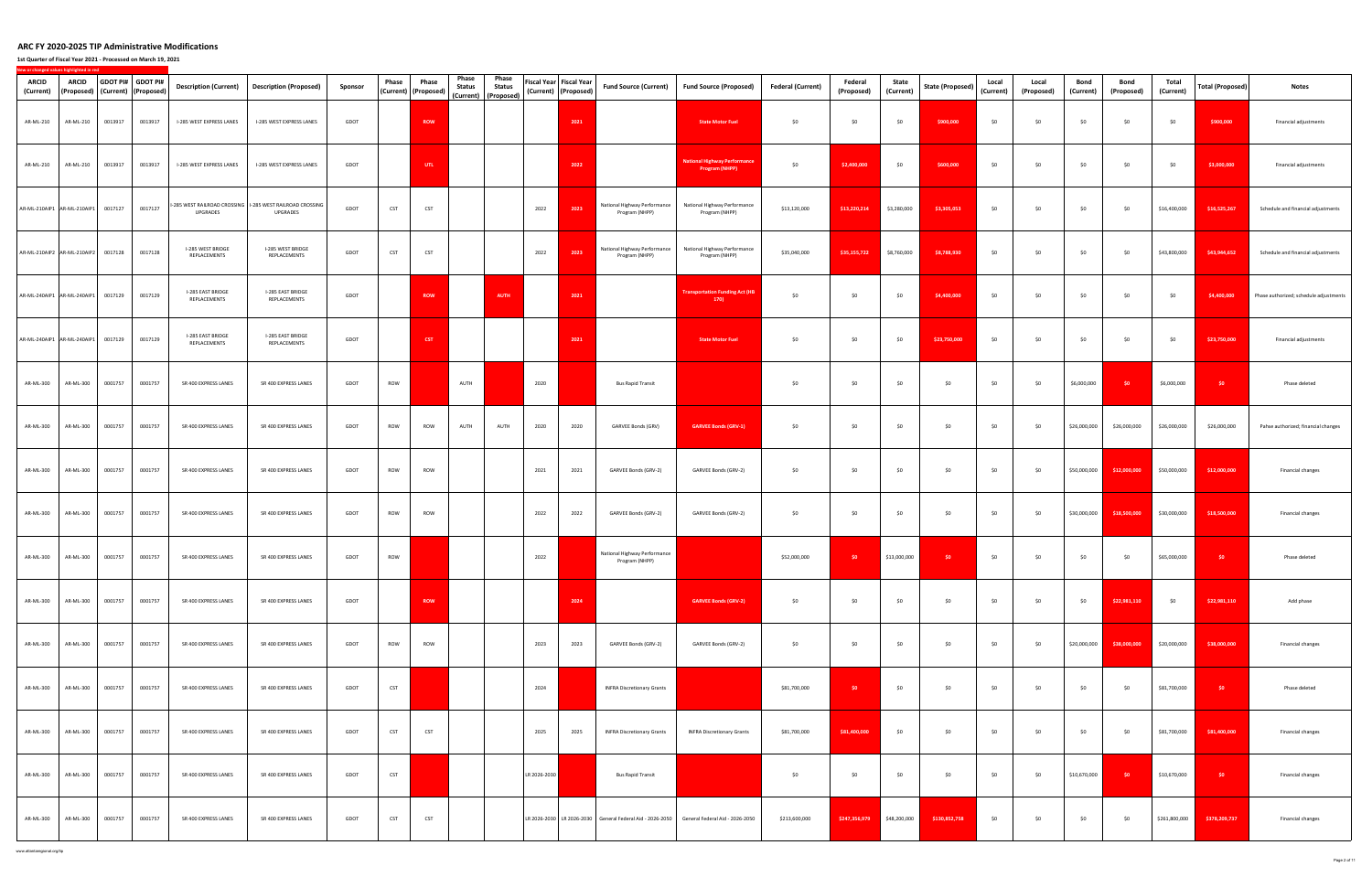**1st Quarter of Fiscal Year 2021 ‐ Processed on March 19, 2021**

| ARCID<br>(Current) | <b>ARCID</b><br>(Proposed)   (Current)   (Proposed) |         | GDOT PI# GDOT PI# | <b>Description (Current)</b>      | <b>Description (Proposed)</b>                                                  | Sponsor | Phase      | Phase<br>(Current) (Proposed) | Phase<br>Status | Phase<br><b>Status</b> |              | Fiscal Year Fiscal Year<br>(Current) (Proposed) | <b>Fund Source (Current)</b>                                                                    | <b>Fund Source (Proposed)</b>                                | <b>Federal (Current)</b> | Federal<br>(Proposed) | State<br>(Current) | <b>State (Proposed)</b> | Local<br>(Current) | Local<br>(Proposed) | Bond<br>(Current) | Bond<br>(Proposed) | Total<br>(Current) | <b>Total (Proposed)</b> | Notes                                  |
|--------------------|-----------------------------------------------------|---------|-------------------|-----------------------------------|--------------------------------------------------------------------------------|---------|------------|-------------------------------|-----------------|------------------------|--------------|-------------------------------------------------|-------------------------------------------------------------------------------------------------|--------------------------------------------------------------|--------------------------|-----------------------|--------------------|-------------------------|--------------------|---------------------|-------------------|--------------------|--------------------|-------------------------|----------------------------------------|
| AR-ML-210          | AR-ML-210                                           | 0013917 | 0013917           | I-285 WEST EXPRESS LANES          | I-285 WEST EXPRESS LANES                                                       | GDOT    |            | <b>ROW</b>                    |                 | (Current) (Proposed)   |              | 2021                                            |                                                                                                 | <b>State Motor Fuel</b>                                      | \$0                      | \$0                   | \$0                | \$900,000               | \$0                | \$0                 | \$0               | \$0                | \$0                | \$900,000               | Financial adjustments                  |
| AR-ML-210          | AR-ML-210                                           | 0013917 | 0013917           | I-285 WEST EXPRESS LANES          | I-285 WEST EXPRESS LANES                                                       | GDOT    |            | UTL                           |                 |                        |              | 2022                                            |                                                                                                 | <b>National Highway Performance</b><br><b>Program (NHPP)</b> | \$0                      | \$2,400,000           | \$0                | \$600,000               | \$0                | \$0                 | \$0               | \$0                | \$0                | \$3,000,000             | Financial adjustments                  |
|                    | AR-ML-210AIP1 AR-ML-210AIP1                         | 0017127 | 0017127           | UPGRADES                          | I-285 WEST RAILROAD CROSSING   I-285 WEST RAILROAD CROSSING<br><b>UPGRADES</b> | GDOT    | CST        | CST                           |                 |                        | 2022         | 2023                                            | National Highway Performance<br>Program (NHPP)                                                  | National Highway Performance<br>Program (NHPP)               | \$13,120,000             | \$13,220,214          | \$3,280,000        | \$3,305,053             | \$0                | \$0                 | \$0               | \$0                | \$16,400,000       | \$16,525,267            | Schedule and financial adjustments     |
|                    | AR-ML-210AIP2 AR-ML-210AIP2                         | 0017128 | 0017128           | I-285 WEST BRIDGE<br>REPLACEMENTS | I-285 WEST BRIDGE<br>REPLACEMENTS                                              | GDOT    | CST        | CST                           |                 |                        | 2022         | 2023                                            | National Highway Performance<br>Program (NHPP)                                                  | National Highway Performance<br>Program (NHPP)               | \$35,040,000             | \$35,155,722          | \$8,760,000        | \$8,788,930             | \$0                | \$0                 | \$0               | \$0                | \$43,800,000       | \$43,944,652            | Schedule and financial adjustments     |
|                    | AR-ML-240AIP1 AR-ML-240AIP1                         | 0017129 | 0017129           | I-285 EAST BRIDGE<br>REPLACEMENTS | I-285 EAST BRIDGE<br>REPLACEMENTS                                              | GDOT    |            | ROW                           |                 | AUTH                   |              | 2021                                            |                                                                                                 | <b>Transportation Funding Act (HB</b><br>170)                | \$0                      | \$0                   | \$0                | \$4,400,000             | \$0                | \$0                 | \$0               | \$0                | \$0                | \$4,400,000             | Phase authorized; schedule adjustments |
|                    | AR-ML-240AIP1 AR-ML-240AIP1                         | 0017129 | 0017129           | I-285 EAST BRIDGE<br>REPLACEMENTS | I-285 EAST BRIDGE<br>REPLACEMENTS                                              | GDOT    |            | <b>CST</b>                    |                 |                        |              | 2021                                            |                                                                                                 | <b>State Motor Fuel</b>                                      | \$0                      | \$0                   | \$0                | \$23,750,000            | \$0                | \$0                 | \$0               | \$0                | \$0                | \$23,750,000            | Financial adjustments                  |
| AR-ML-300          | AR-ML-300                                           | 0001757 | 0001757           | SR 400 EXPRESS LANES              | SR 400 EXPRESS LANES                                                           | GDOT    | ROW        |                               | AUTH            |                        | 2020         |                                                 | <b>Bus Rapid Transit</b>                                                                        |                                                              | \$0                      | \$0                   | \$0                | \$0                     | \$0                | \$0                 | \$6,000,000       | \$0                | \$6,000,000        | \$0                     | Phase deleted                          |
| AR-ML-300          | AR-ML-300                                           | 0001757 | 0001757           | SR 400 EXPRESS LANES              | SR 400 EXPRESS LANES                                                           | GDOT    | ROW        | ROW                           | AUTH            | AUTH                   | 2020         | 2020                                            | GARVEE Bonds (GRV)                                                                              | <b>GARVEE Bonds (GRV-1)</b>                                  | \$0                      | \$0                   | \$0                | \$0                     | \$0                | 50                  | \$26,000,000      | \$26,000,000       | \$26,000,000       | \$26,000,000            | Pahse authorized; financial changes    |
| AR-ML-300          | AR-ML-300                                           | 0001757 | 0001757           | SR 400 EXPRESS LANES              | SR 400 EXPRESS LANES                                                           | GDOT    | ROW        | ROW                           |                 |                        | 2021         | 2021                                            | GARVEE Bonds (GRV-2)                                                                            | GARVEE Bonds (GRV-2)                                         | \$0                      | \$0                   | \$0                | \$0                     | \$0                | \$0                 | \$50,000,000      | \$12,000,000       | \$50,000,000       | \$12,000,000            | Financial changes                      |
| AR-ML-300          | AR-ML-300                                           | 0001757 | 0001757           | SR 400 EXPRESS LANES              | SR 400 EXPRESS LANES                                                           | GDOT    | ROW        | ROW                           |                 |                        | 2022         | 2022                                            | GARVEE Bonds (GRV-2)                                                                            | GARVEE Bonds (GRV-2)                                         | \$0                      | \$0                   | \$0                | \$0                     | \$0                | \$0                 | \$30,000,000      | \$18,500,000       | \$30,000,000       | \$18,500,000            | Financial changes                      |
| AR-ML-300          | AR-ML-300                                           | 0001757 | 0001757           | SR 400 EXPRESS LANES              | SR 400 EXPRESS LANES                                                           | GDOT    | ROW        |                               |                 |                        | 2022         |                                                 | National Highway Performance<br>Program (NHPP)                                                  |                                                              | \$52,000,000             | \$0                   | \$13,000,000       | \$0                     | \$0                | \$0                 | \$0               | \$0                | \$65,000,000       | \$0                     | Phase deleted                          |
| AR-ML-300          | AR-ML-300                                           | 0001757 | 0001757           | SR 400 EXPRESS LANES              | SR 400 EXPRESS LANES                                                           | GDOT    |            | <b>ROW</b>                    |                 |                        |              | 2024                                            |                                                                                                 | <b>GARVEE Bonds (GRV-2)</b>                                  | \$0                      | \$0                   | \$0                | \$0                     | \$0                | \$0                 | \$0               | \$22,981,110       | \$0                | \$22,981,110            | Add phase                              |
| AR-ML-300          | AR-ML-300                                           | 0001757 | 0001757           | SR 400 EXPRESS LANES              | SR 400 EXPRESS LANES                                                           | GDOT    | ROW        | ROW                           |                 |                        | 2023         | 2023                                            | GARVEE Bonds (GRV-2)                                                                            | GARVEE Bonds (GRV-2)                                         | \$0                      | \$0                   | \$0                | \$0                     | \$0                | \$0                 | \$20,000,000      | \$38,000,000       | \$20,000,000       | \$38,000,000            | Financial changes                      |
| AR-ML-300          | AR-ML-300                                           | 0001757 | 0001757           | SR 400 EXPRESS LANES              | SR 400 EXPRESS LANES                                                           | GDOT    | <b>CST</b> |                               |                 |                        | 2024         |                                                 | <b>INFRA Discretionary Grants</b>                                                               |                                                              | \$81,700,000             | \$0                   | \$0                | \$0                     | \$0                | \$0                 | \$0               | \$0                | \$81,700,000       | \$0                     | Phase deleted                          |
| AR-ML-300          | AR-ML-300                                           | 0001757 | 0001757           | SR 400 EXPRESS LANES              | SR 400 EXPRESS LANES                                                           | GDOT    | <b>CST</b> | <b>CST</b>                    |                 |                        | 2025         | 2025                                            | INFRA Discretionary Grants                                                                      | <b>INFRA Discretionary Grants</b>                            | \$81,700,000             | \$81,400,000          | \$0                | \$0                     | \$0                | \$0                 | \$0               | \$0                | \$81,700,000       | \$81,400,000            | Financial changes                      |
| AR-ML-300          | AR-ML-300                                           | 0001757 | 0001757           | SR 400 EXPRESS LANES              | SR 400 EXPRESS LANES                                                           | GDOT    | CST        |                               |                 |                        | LR 2026-2030 |                                                 | <b>Bus Rapid Transit</b>                                                                        |                                                              | \$0                      | \$0                   | \$0                | \$0                     | \$0                | \$0                 | \$10,670,000      | \$0                | \$10,670,000       | \$0                     | Financial changes                      |
| AR-ML-300          | AR-ML-300                                           | 0001757 | 0001757           | SR 400 EXPRESS LANES              | SR 400 EXPRESS LANES                                                           | GDOT    | <b>CST</b> | <b>CST</b>                    |                 |                        |              |                                                 | LR 2026-2030   LR 2026-2030   General Federal Aid - 2026-2050   General Federal Aid - 2026-2050 |                                                              | \$213,600,000            | \$247,356,979         | \$48,200,000       | \$130,852,758           | \$0                | \$0                 | \$0               | \$0                | \$261,800,000      | \$378,209,737           | Financial changes                      |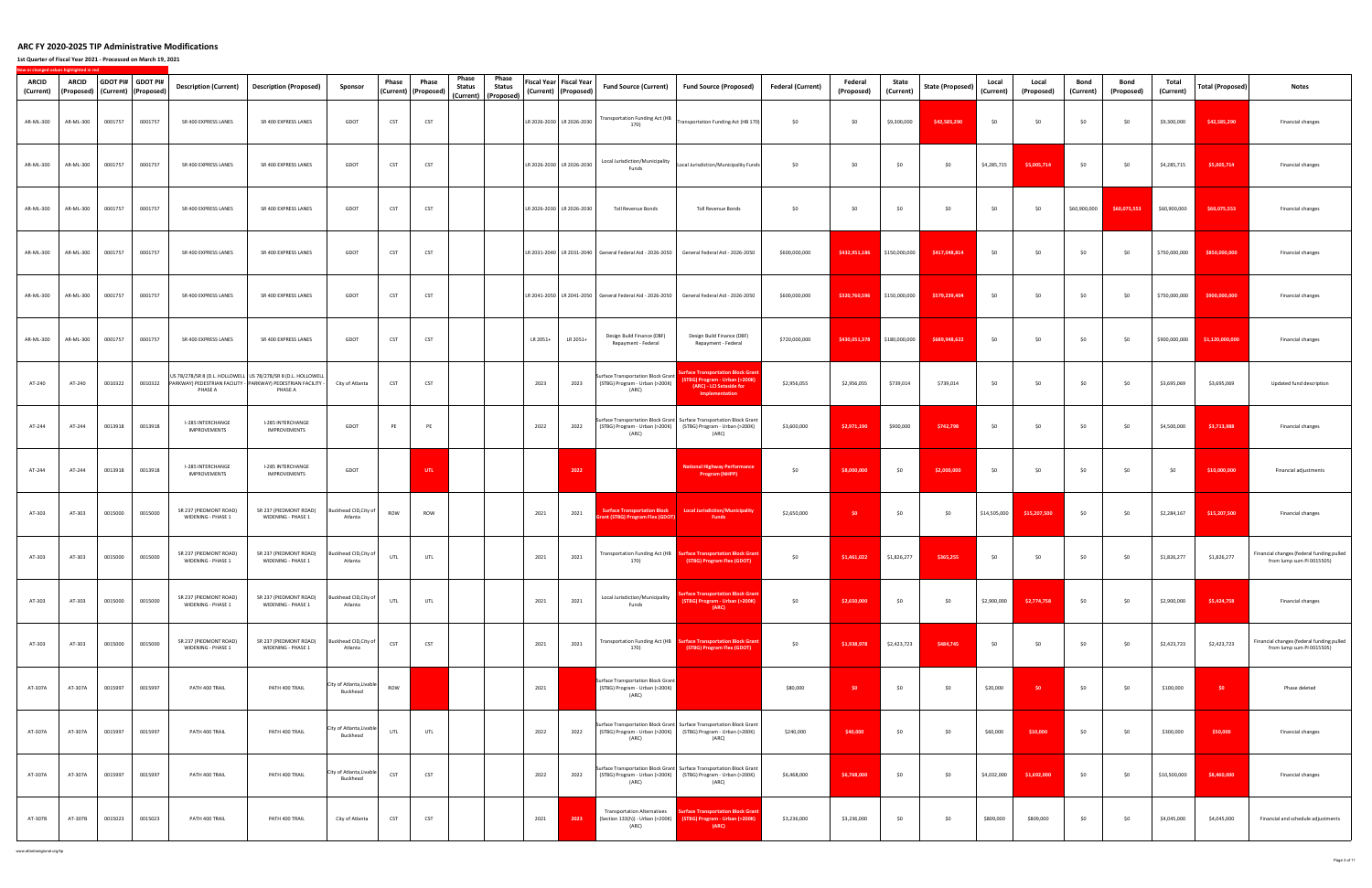**1st Quarter of Fiscal Year 2021 ‐ Processed on March 19, 2021**

| ARCID<br>(Current) | ARCID     |         | GDOT PI# GDOT PI#<br>(Proposed) (Current) (Proposed) | <b>Description (Current)</b>                                                                                                              | <b>Description (Proposed)</b>                | Sponsor                              | Phase      | Phase<br>(Current)   (Proposed) | Phase<br>Phase<br><b>Status</b><br><b>Status</b><br>(Current) (Proposed) |                           | Fiscal Year   Fiscal Year<br>(Current) (Proposed) | <b>Fund Source (Current)</b>                                                         | <b>Fund Source (Proposed)</b>                                                                                                                   | <b>Federal (Current)</b> | Federal<br>(Proposed) | State<br>(Current) | <b>State (Proposed)</b> | Local<br>(Current) | Local<br>(Proposed) | Bond<br>(Current) | Bond<br>(Proposed) | Total<br>(Current) | <b>Total (Proposed)</b> | <b>Notes</b>                                                           |
|--------------------|-----------|---------|------------------------------------------------------|-------------------------------------------------------------------------------------------------------------------------------------------|----------------------------------------------|--------------------------------------|------------|---------------------------------|--------------------------------------------------------------------------|---------------------------|---------------------------------------------------|--------------------------------------------------------------------------------------|-------------------------------------------------------------------------------------------------------------------------------------------------|--------------------------|-----------------------|--------------------|-------------------------|--------------------|---------------------|-------------------|--------------------|--------------------|-------------------------|------------------------------------------------------------------------|
| AR-ML-300          | AR-ML-300 | 0001757 | 0001757                                              | SR 400 EXPRESS LANES                                                                                                                      | SR 400 EXPRESS LANES                         | GDOT                                 | <b>CST</b> | CST                             |                                                                          | LR 2026-2030 LR 2026-2030 |                                                   | Transportation Funding Act (HB<br>170)                                               | Transportation Funding Act (HB 170)                                                                                                             | \$0                      | \$0                   | \$9,300,000        | \$42,585,290            | \$0                | \$0                 | \$0               | \$0                | \$9,300,000        | \$42,585,290            | Financial changes                                                      |
| AR-ML-300          | AR-ML-300 | 0001757 | 0001757                                              | SR 400 EXPRESS LANES                                                                                                                      | SR 400 EXPRESS LANES                         | GDOT                                 | CST        | CST                             |                                                                          | LR 2026-2030 LR 2026-2030 |                                                   | Local Jurisdiction/Municipality<br>Funds                                             | Local Jurisdiction/Municipality Funds                                                                                                           | \$0                      | \$0                   | \$0                | \$0                     | \$4,285,715        | \$5,005,714         | \$0               | \$0                | \$4,285,715        | \$5,005,714             | Financial changes                                                      |
| AR-ML-300          | AR-ML-300 | 0001757 | 0001757                                              | SR 400 EXPRESS LANES                                                                                                                      | SR 400 EXPRESS LANES                         | GDOT                                 | CST        | CST                             |                                                                          | LR 2026-2030 LR 2026-2030 |                                                   | <b>Toll Revenue Bonds</b>                                                            | Toll Revenue Bonds                                                                                                                              | \$0                      | \$0                   | \$0                | \$0                     | \$0                | \$0                 | \$60,900,000      | \$60,075,553       | \$60,900,000       | \$60,075,553            | Financial changes                                                      |
| AR-ML-300          | AR-ML-300 | 0001757 | 0001757                                              | SR 400 EXPRESS LANES                                                                                                                      | SR 400 EXPRESS LANES                         | GDOT                                 | CST        | CST                             |                                                                          |                           |                                                   | LR 2031-2040 LR 2031-2040 General Federal Aid - 2026-2050                            | General Federal Aid - 2026-2050                                                                                                                 | \$600,000,000            | \$432,951,186         | \$150,000,000      | \$417,048,814           | \$0                | \$0                 | \$0               | \$0                | \$750,000,000      | \$850,000,000           | Financial changes                                                      |
| AR-ML-300          | AR-ML-300 | 0001757 | 0001757                                              | SR 400 EXPRESS LANES                                                                                                                      | SR 400 EXPRESS LANES                         | GDOT                                 | <b>CST</b> | CST                             |                                                                          |                           |                                                   | LR 2041-2050   LR 2041-2050   General Federal Aid - 2026-2050                        | General Federal Aid - 2026-2050                                                                                                                 | \$600,000,000            | \$320,760,596         | \$150,000,000      | \$579,239,404           | \$0                | \$0                 | \$0               | \$0                | \$750,000,000      | \$900,000,000           | Financial changes                                                      |
| AR-ML-300          | AR-ML-300 | 0001757 | 0001757                                              | SR 400 EXPRESS LANES                                                                                                                      | SR 400 EXPRESS LANES                         | GDOT                                 | CST        | CST                             |                                                                          | LR 2051+                  | LR 2051+                                          | Design Build Finance (DBF)<br>Repayment - Federal                                    | Design Build Finance (DBF)<br>Repayment - Federal                                                                                               | \$720,000,000            | \$430,051,378         | \$180,000,000      | \$689,948,622           | \$0                | \$0                 | \$0               | \$0                | \$900,000,000      | \$1,120,000,000         | Financial changes                                                      |
| AT-240             | AT-240    | 0010322 | 0010322                                              | US 78/278/SR 8 (D.L. HOLLOWELL US 78/278/SR 8 (D.L. HOLLOWELL<br>PARKWAY) PEDESTRIAN FACILITY - PARKWAY) PEDESTRIAN FACILITY -<br>PHASE A | PHASE A                                      | City of Atlanta                      | CST        | CST                             |                                                                          | 2023                      | 2023                                              | <b>Surface Transportation Block Grant</b><br>(STBG) Program - Urban (>200K)<br>(ARC) | urface Transportation Block Grant<br>(STBG) Program - Urban (>200K)<br>(ARC) - LCI Setaside for<br>Implementation                               | \$2,956,055              | \$2,956,055           | \$739,014          | \$739,014               | \$0                | \$0                 | \$0               | \$0                | \$3,695,069        | \$3,695,069             | Updated fund description                                               |
| AT-244             | AT-244    | 0013918 | 0013918                                              | I-285 INTERCHANGE<br>IMPROVEMENTS                                                                                                         | I-285 INTERCHANGE<br><b>IMPROVEMENTS</b>     | GDOT                                 | PE         | PE                              |                                                                          | 2022                      | 2022                                              | (STBG) Program - Urban (>200K)<br>(ARC)                                              | Surface Transportation Block Grant Surface Transportation Block Grant<br>(STBG) Program - Urban (>200K)<br>(ARC)                                | \$3,600,000              | \$2,971,190           | \$900,000          | \$742,798               | \$0                | \$0                 | \$0               | \$0                | \$4,500,000        | \$3,713,988             | Financial changes                                                      |
| AT-244             | AT-244    | 0013918 | 0013918                                              | I-285 INTERCHANGE<br><b>IMPROVEMENTS</b>                                                                                                  | I-285 INTERCHANGE<br><b>IMPROVEMENTS</b>     | GDOT                                 |            | UTL                             |                                                                          |                           | 2022                                              |                                                                                      | <b>National Highway Performano</b><br><b>Program (NHPP)</b>                                                                                     | \$0                      | \$8,000,000           | \$0                | \$2,000,000             | \$0                | \$0                 | \$0               | \$0                | \$0                | \$10,000,000            | Financial adjustments                                                  |
| AT-303             | AT-303    | 0015000 | 0015000                                              | SR 237 (PIEDMONT ROAD)<br>WIDENING - PHASE 1                                                                                              | SR 237 (PIEDMONT ROAD)<br>WIDENING - PHASE 1 | Buckhead CID, City of<br>Atlanta     | ROW        | ROW                             |                                                                          | 2021                      | 2021                                              | <b>Surface Transportation Block</b><br>ant (STBG) Program Flex (GDOT)                | <b>Local Jurisdiction/Municipality</b><br><b>Funds</b>                                                                                          | \$2,650,000              | \$0                   | \$0                | \$0                     | \$14,505,000       | \$15,207,500        | \$0               | \$0                | \$2,284,167        | \$15,207,500            | Financial changes                                                      |
| AT-303             | AT-303    | 0015000 | 0015000                                              | SR 237 (PIEDMONT ROAD)<br>WIDENING - PHASE 1                                                                                              | SR 237 (PIEDMONT ROAD)<br>WIDENING - PHASE 1 | uckhead CID, City of<br>Atlanta      | UTL        | <b>UTL</b>                      |                                                                          | 2021                      | 2021                                              | 170)                                                                                 | Transportation Funding Act (HB Surface Transportation Block Grar<br>(STBG) Program Flex (GDOT)                                                  | \$0                      | \$1,461,022           | \$1,826,277        | \$365,255               | \$0                | \$0                 | \$0               | \$0                | \$1,826,277        | \$1,826,277             | Financial changes (federal funding pulled<br>from lump sum PI 0015505) |
| AT-303             | AT-303    | 0015000 | 0015000                                              | SR 237 (PIEDMONT ROAD)<br>WIDENING - PHASE 1                                                                                              | SR 237 (PIEDMONT ROAD)<br>WIDENING - PHASE 1 | Buckhead CID, City of<br>Atlanta     | UTL        | UTL                             |                                                                          | 2021                      | 2021                                              | Local Jurisdiction/Municipality<br>Funds                                             | urface Transportation Block Grant<br>(STBG) Program - Urban (>200K)<br>(ARC)                                                                    | \$0                      | \$2,650,000           | \$0                | \$0                     | \$2,900,000        | \$2,774,758         | \$0               | \$0                | \$2,900,000        | \$5,424,758             | Financial changes                                                      |
| AT-303             | AT-303    | 0015000 | 0015000                                              | SR 237 (PIEDMONT ROAD)<br>WIDENING - PHASE 1                                                                                              | SR 237 (PIEDMONT ROAD)<br>WIDENING - PHASE 1 | Buckhead CID, City of<br>Atlanta     | CST        | CST                             |                                                                          | 2021                      | 2021                                              | 170)                                                                                 | Transportation Funding Act (HB   Surface Transportation Block Gran<br>(STBG) Program Flex (GDOT)                                                | \$0                      | \$1,938,978           | \$2,423,723        | \$484,745               | \$0                | \$0                 | \$0               | \$0                | \$2,423,723        | \$2,423,723             | Financial changes (federal funding pulled<br>from lump sum PI 0015505) |
| AT-307A            | AT-307A   | 0015997 | 0015997                                              | PATH 400 TRAIL                                                                                                                            | PATH 400 TRAIL                               | City of Atlanta,Livable<br>Buckhead  | ROW        |                                 |                                                                          | 2021                      |                                                   | <b>Surface Transportation Block Grant</b><br>(STBG) Program - Urban (>200K)<br>(ARC) |                                                                                                                                                 | \$80,000                 | \$0                   | \$0                | \$0                     | \$20,000           | \$0                 | \$0               | \$0                | \$100,000          | SO.                     | Phase deleted                                                          |
| AT-307A            | AT-307A   | 0015997 | 0015997                                              | PATH 400 TRAIL                                                                                                                            | PATH 400 TRAIL                               | City of Atlanta, Livable<br>Buckhead | UTL        | UTL                             |                                                                          | 2022                      | 2022                                              | (ARC)                                                                                | Surface Transportation Block Grant Surface Transportation Block Grant<br>(STBG) Program - Urban (>200K) (STBG) Program - Urban (>200K)<br>(ARC) | \$240,000                | \$40,000              | \$0                | \$0                     | \$60,000           | \$10,000            | \$0               | \$0                | \$300,000          | \$50,000                | Financial changes                                                      |
| AT-307A            | AT-307A   | 0015997 | 0015997                                              | PATH 400 TRAIL                                                                                                                            | PATH 400 TRAIL                               | City of Atlanta, Livable<br>Buckhead | CST        | CST                             |                                                                          | 2022                      | 2022                                              | (ARC)                                                                                | Surface Transportation Block Grant Surface Transportation Block Grant<br>(STBG) Program - Urban (>200K) (STBG) Program - Urban (>200K)<br>(ARC) | \$6,468,000              | \$6,768,000           | \$0                | \$0                     | \$4,032,000        | \$1,692,000         | \$0               | \$0                | \$10,500,000       | \$8,460,000             | Financial changes                                                      |
| AT-307B            | AT-307B   | 0015023 | 0015023                                              | PATH 400 TRAIL                                                                                                                            | PATH 400 TRAIL                               | City of Atlanta                      | CST        | <b>CST</b>                      |                                                                          | 2021                      | 2023                                              | <b>Transportation Alternatives</b><br>(Section 133(h)) - Urban (>200K)<br>(ARC)      | urface Transportation Block Gran<br>(STBG) Program - Urban (>200K)<br>(ARC)                                                                     | \$3,236,000              | \$3,236,000           | \$0                | \$0                     | \$809,000          | \$809,000           | \$0               | \$0                | \$4,045,000        | \$4,045,000             | Financial and schedule adjustments                                     |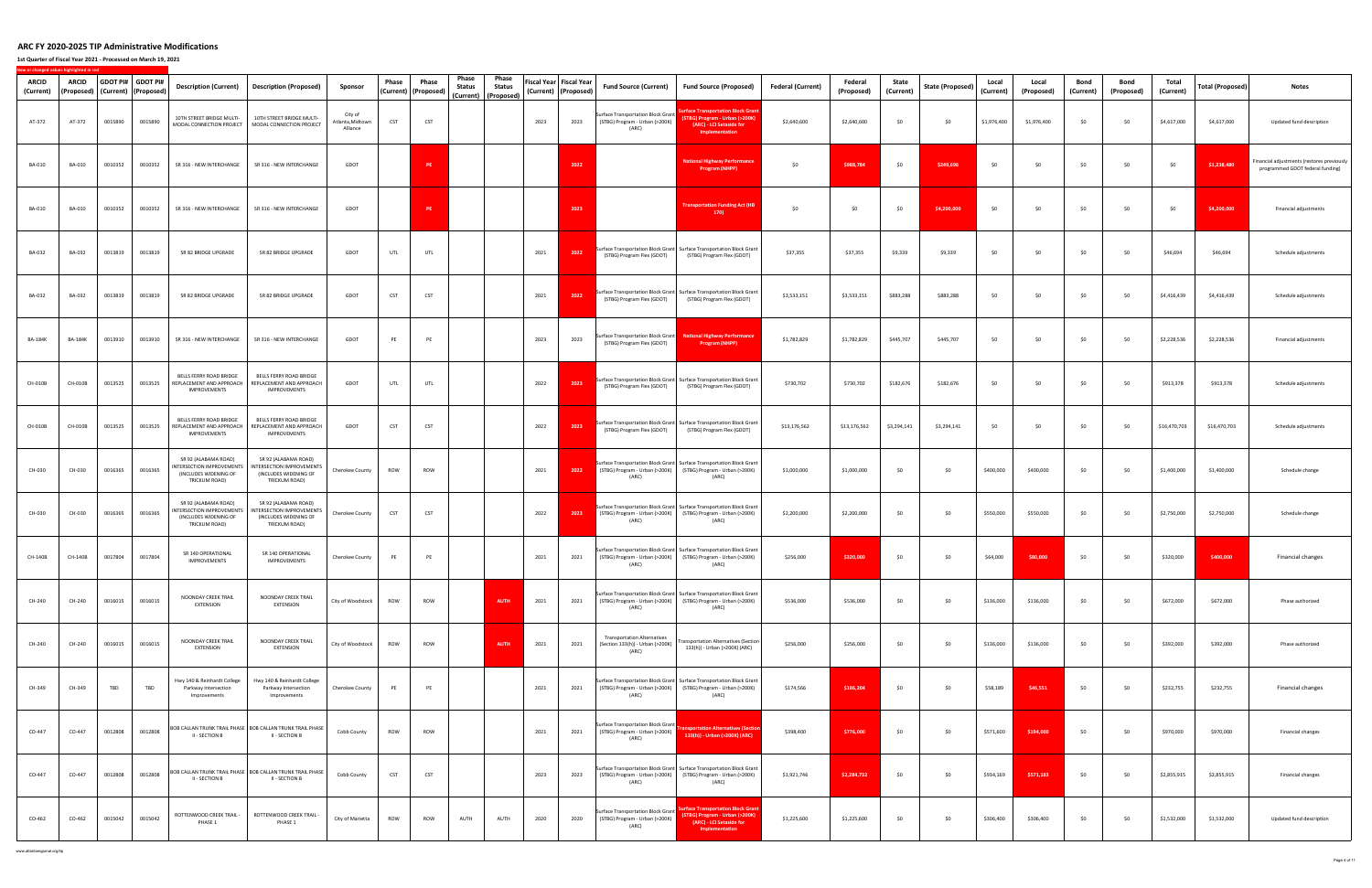**1st Quarter of Fiscal Year 2021 ‐ Processed on March 19, 2021**

|                           |                     |         |                                           |                                                                                             |                                                                                              |                                         |            |                                 | Phase         | Phase                                 |      |                                                   |                                                                                 |                                                                                                                                                 |                          |                       |                    |                         |                    |                     |                   |                    |                    |                  |                                                                                |
|---------------------------|---------------------|---------|-------------------------------------------|---------------------------------------------------------------------------------------------|----------------------------------------------------------------------------------------------|-----------------------------------------|------------|---------------------------------|---------------|---------------------------------------|------|---------------------------------------------------|---------------------------------------------------------------------------------|-------------------------------------------------------------------------------------------------------------------------------------------------|--------------------------|-----------------------|--------------------|-------------------------|--------------------|---------------------|-------------------|--------------------|--------------------|------------------|--------------------------------------------------------------------------------|
| <b>ARCID</b><br>(Current) | ARCID<br>(Proposed) |         | GDOT PI# GDOT PI#<br>(Current) (Proposed) | <b>Description (Current)</b>                                                                | <b>Description (Proposed)</b>                                                                | Sponsor                                 | Phase      | Phase<br>(Current)   (Proposed) | <b>Status</b> | <b>Status</b><br>(Current) (Proposed) |      | Fiscal Year   Fiscal Year<br>(Current) (Proposed) | <b>Fund Source (Current)</b>                                                    | <b>Fund Source (Proposed)</b>                                                                                                                   | <b>Federal (Current)</b> | Federal<br>(Proposed) | State<br>(Current) | <b>State (Proposed)</b> | Local<br>(Current) | Local<br>(Proposed) | Bond<br>(Current) | Bond<br>(Proposed) | Total<br>(Current) | Total (Proposed) | <b>Notes</b>                                                                   |
| AT-372                    | AT-372              | 0015890 | 0015890                                   | 10TH STREET BRIDGE MULTI-<br>MODAL CONNECTION PROJECT                                       | 10TH STREET BRIDGE MULTI-<br>MODAL CONNECTION PROJECT                                        | City of<br>Atlanta, Midtown<br>Alliance | CST        | <b>CST</b>                      |               |                                       | 2023 | 2023                                              | Surface Transportation Block Grant<br>(STBG) Program - Urban (>200K)<br>(ARC)   | rface Transportation Block Grar<br>(STBG) Program - Urban (>200K)<br>(ARC) - LCI Setaside for<br>Implementation                                 | \$2,640,600              | \$2,640,600           | \$0                | \$0                     | \$1,976,400        | \$1,976,400         | \$0               | \$0                | \$4,617,000        | \$4,617,000      | Updated fund description                                                       |
| BA-010                    | BA-010              | 0010352 | 0010352                                   | SR 316 - NEW INTERCHANGE                                                                    | SR 316 - NEW INTERCHANGE                                                                     | GDOT                                    |            | PE                              |               |                                       |      | 2022                                              |                                                                                 | <b>National Highway Performance</b><br>Program (NHPP)                                                                                           | \$0                      | \$988,784             | \$0                | \$249,696               | \$0                | \$0                 | \$0               | \$0                | - \$0              | \$1,238,480      | Financial adjustments (restores previously<br>programmed GDOT federal funding) |
| BA-010                    | BA-010              | 0010352 | 0010352                                   | SR 316 - NEW INTERCHANGE                                                                    | SR 316 - NEW INTERCHANGE                                                                     | GDOT                                    |            | PE                              |               |                                       |      | 2023                                              |                                                                                 | Transportation Funding Act (HB<br>170)                                                                                                          | \$0                      | \$0                   | \$0                | \$4,200,000             | \$0                | \$0                 | \$0               | \$0                | \$0                | \$4,200,000      | Financial adjustments                                                          |
| BA-032                    | BA-032              | 0013819 | 0013819                                   | SR 82 BRIDGE UPGRADE                                                                        | SR 82 BRIDGE UPGRADE                                                                         | GDOT                                    | UTL        | UTL                             |               |                                       | 2021 | 2022                                              | (STBG) Program Flex (GDOT)                                                      | Surface Transportation Block Grant Surface Transportation Block Grant<br>(STBG) Program Flex (GDOT)                                             | \$37,355                 | \$37,355              | \$9,339            | \$9,339                 | \$0                | \$0                 | \$0               | \$0                | \$46,694           | \$46,694         | Schedule adjustments                                                           |
| BA-032                    | BA-032              | 0013819 | 0013819                                   | SR 82 BRIDGE UPGRADE                                                                        | SR 82 BRIDGE UPGRADE                                                                         | GDOT                                    | CST        | CST                             |               |                                       | 2021 | 2022                                              | (STBG) Program Flex (GDOT)                                                      | Surface Transportation Block Grant Surface Transportation Block Grant<br>(STBG) Program Flex (GDOT)                                             | \$3,533,151              | \$3,533,151           | \$883,288          | \$883,288               | \$0                | \$0                 | \$0               | \$0                | \$4,416,439        | \$4,416,439      | Schedule adjustments                                                           |
| <b>BA-184K</b>            | <b>BA-184K</b>      | 0013910 | 0013910                                   | SR 316 - NEW INTERCHANGE                                                                    | SR 316 - NEW INTERCHANGE                                                                     | GDOT                                    | PE         | PE                              |               |                                       | 2023 | 2023                                              | Surface Transportation Block Grant<br>(STBG) Program Flex (GDOT)                | <b>National Highway Performance</b><br>Program (NHPP)                                                                                           | \$1,782,829              | \$1,782,829           | \$445,707          | \$445,707               | \$0                | \$0                 | \$0               | \$0                | \$2,228,536        | \$2,228,536      | Financial adjustments                                                          |
| CH-010B                   | CH-010B             | 0013525 | 0013525                                   | BELLS FERRY ROAD BRIDGE<br>REPLACEMENT AND APPROACH<br><b>IMPROVEMENTS</b>                  | BELLS FERRY ROAD BRIDGE<br>REPLACEMENT AND APPROACH<br>IMPROVEMENTS                          | GDOT                                    | UTL        | UTL                             |               |                                       | 2022 | 2023                                              | (STBG) Program Flex (GDOT)                                                      | Surface Transportation Block Grant Surface Transportation Block Grant<br>(STBG) Program Flex (GDOT)                                             | \$730,702                | \$730,702             | \$182,676          | \$182,676               | \$0                | \$0                 | \$0               | \$0                | \$913,378          | \$913,378        | Schedule adjustments                                                           |
| CH-010B                   | CH-010B             | 0013525 | 0013525                                   | BELLS FERRY ROAD BRIDGE<br><b>IMPROVEMENTS</b>                                              | BELLS FERRY ROAD BRIDGE<br>REPLACEMENT AND APPROACH REPLACEMENT AND APPROACH<br>IMPROVEMENTS | GDOT                                    | CST        | CST                             |               |                                       | 2022 | 2023                                              | (STBG) Program Flex (GDOT)                                                      | Surface Transportation Block Grant Surface Transportation Block Grant<br>(STBG) Program Flex (GDOT)                                             | \$13,176,562             | \$13,176,562          | \$3,294,141        | \$3,294,141             | \$0                | \$0                 | \$0               | \$0                | \$16,470,703       | \$16,470,703     | Schedule adjustments                                                           |
| CH-030                    | CH-030              | 0016365 | 0016365                                   | SR 92 (ALABAMA ROAD)<br>INTERSECTION IMPROVEMENTS<br>(INCLUDES WIDENING OF<br>TRICKUM ROAD) | SR 92 (ALABAMA ROAD)<br>INTERSECTION IMPROVEMENTS<br>(INCLUDES WIDENING OF<br>TRICKUM ROAD)  | Cherokee County                         | ROW        | ROW                             |               |                                       | 2021 | 2022                                              | (STBG) Program - Urban (>200K) (STBG) Program - Urban (>200K)<br>(ARC)          | Surface Transportation Block Grant Surface Transportation Block Grant<br>(ARC)                                                                  | \$1,000,000              | \$1,000,000           | \$0                | \$0                     | \$400,000          | \$400,000           | \$0               | \$0                | \$1,400,000        | \$1,400,000      | Schedule change                                                                |
| CH-030                    | CH-030              | 0016365 | 0016365                                   | SR 92 (ALABAMA ROAD)<br>INTERSECTION IMPROVEMENTS<br>(INCLUDES WIDENING OF<br>TRICKUM ROAD) | SR 92 (ALABAMA ROAD)<br>INTERSECTION IMPROVEMENTS<br>(INCLUDES WIDENING OF<br>TRICKUM ROAD)  | Cherokee County                         | CST        | <b>CST</b>                      |               |                                       | 2022 | 2023                                              | (STBG) Program - Urban (>200K) (STBG) Program - Urban (>200K)<br>(ARC)          | Surface Transportation Block Grant Surface Transportation Block Grant<br>(ARC)                                                                  | \$2,200,000              | \$2,200,000           | \$0                | \$0                     | \$550,000          | \$550,000           | \$0               | \$0                | \$2,750,000        | \$2,750,000      | Schedule change                                                                |
| CH-140B                   | CH-140B             | 0017804 | 0017804                                   | SR 140 OPERATIONAL<br>IMPROVEMENTS                                                          | SR 140 OPERATIONAL<br><b>IMPROVEMENTS</b>                                                    | Cherokee County                         | PE         | PE                              |               |                                       | 2021 | 2021                                              | (STBG) Program - Urban (>200K)<br>(ARC)                                         | iurface Transportation Block Grant Surface Transportation Block Gran<br>(STBG) Program - Urban (>200K)<br>(ARC)                                 | \$256,000                | \$320,000             | \$0                | \$0                     | \$64,000           | \$80,000            | \$0               | \$0                | \$320,000          | \$400,000        | Financial changes                                                              |
| CH-240                    | CH-240              | 0016015 | 0016015                                   | NOONDAY CREEK TRAIL<br>EXTENSION                                                            | NOONDAY CREEK TRAIL<br>EXTENSION                                                             | City of Woodstock                       | ROW        | ROW                             |               | <b>AUTH</b>                           | 2021 | 2021                                              | (STBG) Program - Urban (>200K) (STBG) Program - Urban (>200K)<br>(ARC)          | Surface Transportation Block Grant Surface Transportation Block Grant<br>(ARC)                                                                  | \$536,000                | \$536,000             | \$0                | \$0                     | \$136,000          | \$136,000           | \$0               | \$0                | \$672,000          | \$672,000        | Phase authorized                                                               |
| CH-240                    | CH-240              | 0016015 | 0016015                                   | NOONDAY CREEK TRAIL<br>EXTENSION                                                            | NOONDAY CREEK TRAIL<br>EXTENSION                                                             | City of Woodstock                       | ROW        | ROW                             |               | <b>AUTH</b>                           | 2021 | 2021                                              | <b>Transportation Alternatives</b><br>(Section 133(h)) - Urban (>200K)<br>(ARC) | ransportation Alternatives (Section<br>133(h)) - Urban (>200K) (ARC)                                                                            | \$256,000                | \$256,000             | \$0                | \$0                     | \$136,000          | \$136,000           | \$0               | \$0                | \$392,000          | \$392,000        | Phase authorized                                                               |
| CH-349                    | CH-349              | TBD     | TBD                                       | Hwy 140 & Reinhardt College<br>Parkway Intersection<br>Improvements                         | Hwy 140 & Reinhardt College<br>Parkway Intersection<br>Improvements                          | Cherokee County                         | PE         | PE                              |               |                                       | 2021 | 2021                                              | (STBG) Program - Urban (>200K) (STBG) Program - Urban (>200K)<br>(ARC)          | Surface Transportation Block Grant Surface Transportation Block Grant<br>(ARC)                                                                  | \$174,566                | \$186,204             | \$0                | \$0                     | \$58,189           | \$46,551            | \$0               | \$0                | \$232,755          | \$232,755        | Financial changes                                                              |
| CO-447                    | CO-447              | 0012808 | 0012808                                   | II - SECTION B                                                                              | BOB CALLAN TRUNK TRAIL PHASE   BOB CALLAN TRUNK TRAIL PHASE<br>II - SECTION B                | Cobb County                             | ROW        | ROW                             |               |                                       | 2021 | 2021                                              | Surface Transportation Block Grant<br>(STBG) Program - Urban (>200K)<br>(ARC)   | <b>isportation Alternatives (Secti</b><br>133(h)) - Urban (>200K) (ARC)                                                                         | \$398,400                | \$776,000             | \$0                | \$0                     | \$571,600          | \$194,000           | \$0               | \$0                | \$970,000          | \$970,000        | Financial changes                                                              |
| CO-447                    | CO-447              | 0012808 | 0012808                                   | <b>II - SECTION B</b>                                                                       | BOB CALLAN TRUNK TRAIL PHASE   BOB CALLAN TRUNK TRAIL PHASE<br>II - SECTION B                | Cobb County                             | CST        | <b>CST</b>                      |               |                                       | 2023 | 2023                                              | (ARC)                                                                           | Surface Transportation Block Grant Surface Transportation Block Grant<br>(STBG) Program - Urban (>200K) (STBG) Program - Urban (>200K)<br>(ARC) | \$1,921,746              | \$2,284,732           | \$0                | \$0                     | \$934,169          | \$571,183           | \$0               | \$0                | \$2,855,915        | \$2,855,915      | Financial changes                                                              |
| CO-462                    | CO-462              | 0015042 | 0015042                                   | ROTTENWOOD CREEK TRAIL -<br>PHASE 1                                                         | ROTTENWOOD CREEK TRAIL -<br>PHASE 1                                                          | City of Marietta                        | <b>ROW</b> | ROW                             | AUTH          | AUTH                                  | 2020 | 2020                                              | Surface Transportation Block Grant<br>(STBG) Program - Urban (>200K)<br>(ARC)   | ice Transportation Block Grar<br>iTBG) Program - Urban (>200K)<br>(ARC) - LCI Setaside for<br>Implementation                                    | \$1,225,600              | \$1,225,600           | \$0                | \$0                     | \$306,400          | \$306,400           | \$0               | \$0                | \$1,532,000        | \$1,532,000      | Updated fund description                                                       |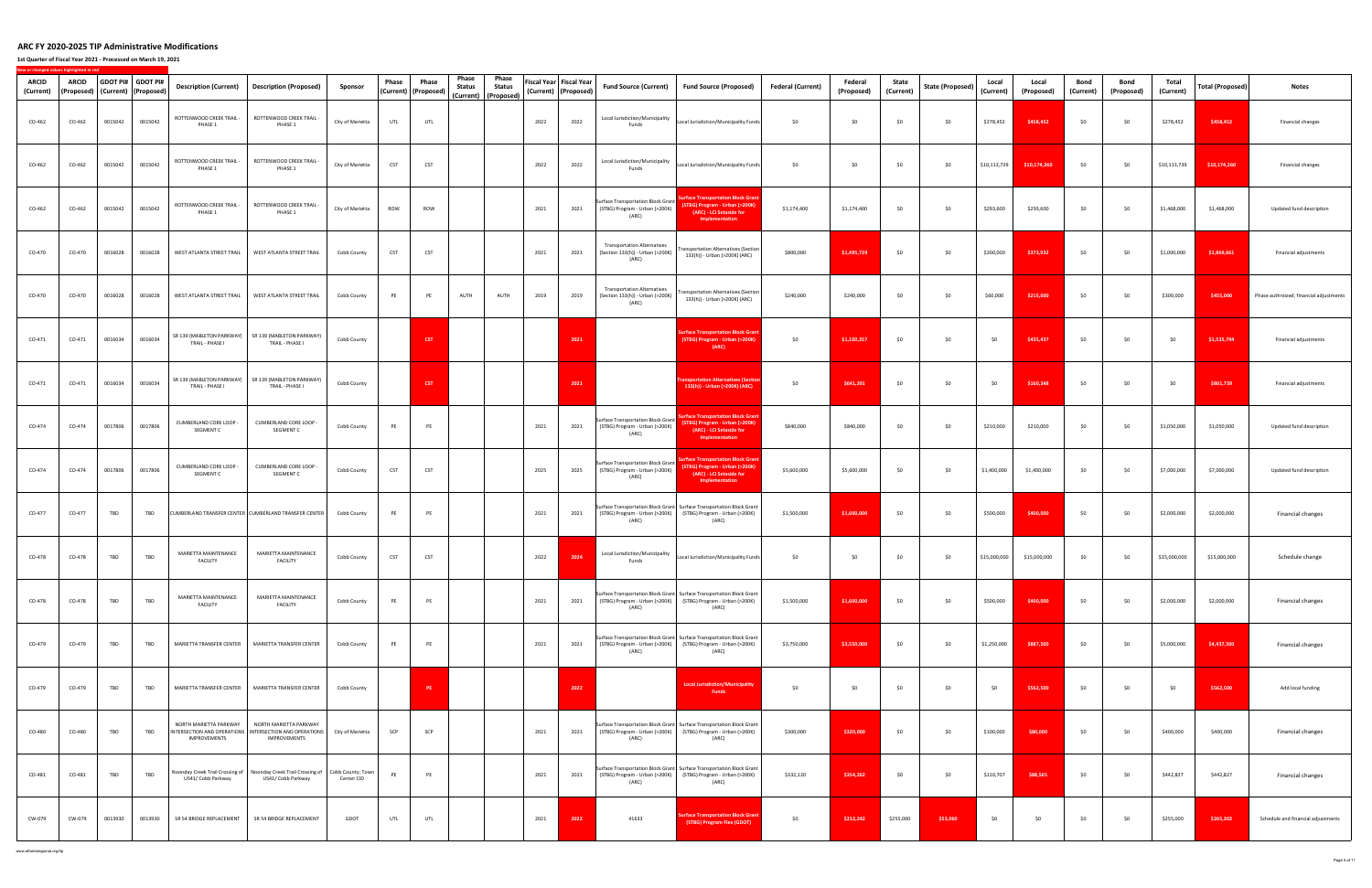**1st Quarter of Fiscal Year 2021 ‐ Processed on March 19, 2021**

| <b>ARCID</b><br>(Current) | ARCID  |         | GDOT PI# GDOT PI#<br>(Proposed)   (Current)   (Proposed) | <b>Description (Current)</b>                          | <b>Description (Proposed)</b>                                                                                                 | Sponsor          | Phase | Phase<br>(Current) (Proposed) | Phase<br><b>Status</b><br>(Current) | Phase<br>Status<br>(Proposed) |      | Fiscal Year   Fiscal Year<br>(Current) (Proposed) | <b>Fund Source (Current)</b>                                                         | <b>Fund Source (Proposed)</b>                                                                                                                   | <b>Federal (Current)</b> | Federal<br>(Proposed) | State<br>(Current) | <b>State (Proposed)</b> | Local<br>(Current) | Local<br>(Proposed) | Bond<br>(Current) | Bond<br>(Proposed) | Total<br>(Current) | <b>Total (Proposed)</b> | <b>Notes</b>                            |
|---------------------------|--------|---------|----------------------------------------------------------|-------------------------------------------------------|-------------------------------------------------------------------------------------------------------------------------------|------------------|-------|-------------------------------|-------------------------------------|-------------------------------|------|---------------------------------------------------|--------------------------------------------------------------------------------------|-------------------------------------------------------------------------------------------------------------------------------------------------|--------------------------|-----------------------|--------------------|-------------------------|--------------------|---------------------|-------------------|--------------------|--------------------|-------------------------|-----------------------------------------|
| CO-462                    | CO-462 | 0015042 | 0015042                                                  | ROTTENWOOD CREEK TRAIL -<br>PHASE 1                   | ROTTENWOOD CREEK TRAIL -<br>PHASE 1                                                                                           | City of Marietta | UTL   | UTL                           |                                     |                               | 2022 | 2022                                              | Local Jurisdiction/Municipality<br>Funds                                             | Local Jurisdiction/Municipality Funds                                                                                                           | \$0                      | \$0                   | \$0                | \$0                     | \$278,452          | \$458,452           | \$0               | \$0                | \$278,452          | \$458,452               | Financial changes                       |
| CO-462                    | CO-462 | 0015042 | 0015042                                                  | ROTTENWOOD CREEK TRAIL -<br>PHASE 1                   | ROTTENWOOD CREEK TRAIL -<br>PHASE 1                                                                                           | City of Marietta | CST   | CST                           |                                     |                               | 2022 | 2022                                              | Local Jurisdiction/Municipality<br>Funds                                             | Local Jurisdiction/Municipality Funds                                                                                                           | \$0                      | \$0                   | \$0                | \$0                     | \$10,113,739       | \$10,174,260        | \$0               | \$0                | \$10,113,739       | \$10,174,260            | Financial changes                       |
| CO-462                    | CO-462 | 0015042 | 0015042                                                  | ROTTENWOOD CREEK TRAIL -<br>PHASE 1                   | ROTTENWOOD CREEK TRAIL -<br>PHASE 1                                                                                           | City of Marietta | ROW   | ROW                           |                                     |                               | 2021 | 2021                                              | Surface Transportation Block Grant<br>(STBG) Program - Urban (>200K)<br>(ARC)        | urface Transportation Block Gra<br>(STBG) Program - Urban (>200K)<br>(ARC) - LCI Setaside for<br><b>Implementation</b>                          | \$1,174,400              | \$1,174,400           | \$0                | \$0                     | \$293,600          | \$293,600           | \$0               | \$0                | \$1,468,000        | \$1,468,000             | Updated fund description                |
| CO-470                    | CO-470 | 0016028 | 0016028                                                  | WEST ATLANTA STREET TRAIL                             | WEST ATLANTA STREET TRAIL                                                                                                     | Cobb County      | CST   | <b>CST</b>                    |                                     |                               | 2021 | 2021                                              | <b>Transportation Alternatives</b><br>(Section 133(h)) - Urban (>200K)<br>(ARC)      | ansportation Alternatives (Section<br>133(h)) - Urban (>200K) (ARC)                                                                             | \$800,000                | \$1,495,729           | \$0                | \$0                     | \$200,000          | \$373,932           | \$0               | \$0                | \$1,000,000        | \$1,869,661             | Financial adjustments                   |
| CO-470                    | CO-470 | 0016028 | 0016028                                                  | WEST ATLANTA STREET TRAIL                             | WEST ATLANTA STREET TRAIL                                                                                                     | Cobb County      | PE    | PE                            | AUTH                                | AUTH                          | 2019 | 2019                                              | <b>Transportation Alternatives</b><br>(Section 133(h)) - Urban (>200K)<br>(ARC)      | ransportation Alternatives (Section<br>133(h)) - Urban (>200K) (ARC)                                                                            | \$240,000                | \$240,000             | \$0                | \$0                     | \$60,000           | \$215,000           | <b>SO</b>         | \$0                | \$300,000          | \$455,000               | Phase authroized; financial adjustments |
| CO-471                    | CO-471 | 0016034 | 0016034                                                  | SR 139 (MABLETON PARKWAY)<br>TRAIL - PHASE I          | SR 139 (MABLETON PARKWAY)<br>TRAIL - PHASE I                                                                                  | Cobb County      |       | <b>CST</b>                    |                                     |                               |      | 2021                                              |                                                                                      | <b>Surface Transportation Block Gra</b><br>(STBG) Program - Urban (>200K)<br>(ARC)                                                              | \$0                      | \$1,100,357           | \$0                | \$0                     | \$0                | \$435,437           | \$0               | \$0                | \$0                | \$1,535,794             | Financial adjustments                   |
| CO-471                    | CO-471 | 0016034 | 0016034                                                  | SR 139 (MABLETON PARKWAY)<br>TRAIL - PHASE I          | SR 139 (MABLETON PARKWAY)<br>TRAIL - PHASE I                                                                                  | Cobb County      |       | <b>CST</b>                    |                                     |                               |      | 2021                                              |                                                                                      | nsportation Alternatives (Sec<br>133(h)) - Urban (>200K) (ARC)                                                                                  | \$0                      | \$641,391             | \$0                | \$0                     | \$0                | \$160,348           | \$0               | \$0                | SO.                | \$801,739               | Financial adjustments                   |
| CO-474                    | CO-474 | 0017806 | 0017806                                                  | CUMBERLAND CORE LOOP -<br>SEGMENT C                   | CUMBERLAND CORE LOOP -<br>SEGMENT C                                                                                           | Cobb County      | PE    | PE                            |                                     |                               | 2021 | 2021                                              | <b>Surface Transportation Block Grant</b><br>(STBG) Program - Urban (>200K)<br>(ARC) | <b>Irface Transportation Block Grai</b><br>(STBG) Program - Urban (>200K)<br>(ARC) - LCI Setaside for<br><b>Implementation</b>                  | \$840,000                | \$840,000             | \$0                | \$0                     | \$210,000          | \$210,000           | \$0               | \$0                | \$1,050,000        | \$1,050,000             | Updated fund description                |
| CO-474                    | CO-474 | 0017806 | 0017806                                                  | CUMBERLAND CORE LOOP -<br>SEGMENT C                   | CUMBERLAND CORE LOOP -<br>SEGMENT C                                                                                           | Cobb County      | CST   | CST                           |                                     |                               | 2025 | 2025                                              | Surface Transportation Block Grant<br>(STBG) Program - Urban (>200K)<br>(ARC)        | <b>Irface Transportation Block Gra</b><br>(STBG) Program - Urban (>200K)<br>(ARC) - LCI Setaside for<br>Implementation                          | \$5,600,000              | \$5,600,000           | \$0                | \$0                     | \$1,400,000        | \$1,400,000         | \$0               | \$0                | \$7,000,000        | \$7,000,000             | Updated fund description                |
| CO-477                    | CO-477 | TBD     | TBD                                                      |                                                       | CUMBERLAND TRANSFER CENTER CUMBERLAND TRANSFER CENTER                                                                         | Cobb County      | PE    | PE                            |                                     |                               | 2021 | 2021                                              | (ARC)                                                                                | Surface Transportation Block Grant Surface Transportation Block Grant<br>(STBG) Program - Urban (>200K) (STBG) Program - Urban (>200K)<br>(ARC) | \$1,500,000              | \$1,600,000           | \$0                | \$0                     | \$500,000          | \$400,000           | \$0               | \$0                | \$2,000,000        | \$2,000,000             | Financial changes                       |
| CO-478                    | CO-478 | TBD     | TBD                                                      | MARIETTA MAINTENANCE<br><b>FACILITY</b>               | MARIETTA MAINTENANCE<br><b>FACILITY</b>                                                                                       | Cobb County      | CST   | CST                           |                                     |                               | 2022 | 2024                                              | Local Jurisdiction/Municipality<br>Funds                                             | Local Jurisdiction/Municipality Funds                                                                                                           | \$0                      | \$0                   | \$0                | \$0                     | \$15,000,000       | \$15,000,000        | \$0               | \$0                | \$15,000,000       | \$15,000,000            | Schedule change                         |
| CO-478                    | CO-478 | TBD     | TBD                                                      | MARIETTA MAINTENANCE<br><b>FACILITY</b>               | MARIETTA MAINTENANCE<br><b>FACILITY</b>                                                                                       | Cobb County      | PE    | PE                            |                                     |                               | 2021 | 2021                                              | (ARC)                                                                                | Surface Transportation Block Grant Surface Transportation Block Grant<br>(STBG) Program - Urban (>200K) (STBG) Program - Urban (>200K)<br>(ARC) | \$1,500,000              | \$1,600,000           | \$0                | \$0                     | \$500,000          | \$400,000           | \$0               | \$0                | \$2,000,000        | \$2,000,000             | Financial changes                       |
| CO-479                    | CO-479 | TBD     | TBD                                                      | MARIETTA TRANSFER CENTER                              | MARIETTA TRANSFER CENTER                                                                                                      | Cobb County      | PE    | PE                            |                                     |                               | 2021 | 2021                                              | (ARC)                                                                                | Surface Transportation Block Grant Surface Transportation Block Grant<br>(STBG) Program - Urban (>200K) (STBG) Program - Urban (>200K)<br>(ARC) | \$3,750,000              | \$3,550,000           | \$0                | \$0                     | \$1,250,000        | \$887,500           | \$0               | \$0                | \$5,000,000        | \$4,437,500             | Financial changes                       |
| CO-479                    | CO-479 | TBD     | TBD                                                      | MARIETTA TRANSFER CENTER                              | MARIETTA TRANSFER CENTER                                                                                                      | Cobb County      |       | PE.                           |                                     |                               |      | 2022                                              |                                                                                      | <b>Local Jurisdiction/Municipality</b><br>Funds                                                                                                 | \$0                      | \$0                   | \$0                | \$0                     | \$0                | \$562,500           | \$0               | \$0                | \$0                | \$562,500               | Add local funding                       |
| CO-480                    | CO-480 | TBD     | TBD                                                      | NORTH MARIETTA PARKWAY<br>IMPROVEMENTS                | NORTH MARIETTA PARKWAY<br>INTERSECTION AND OPERATIONS   INTERSECTION AND OPERATIONS   City of Marietta<br><b>IMPROVEMENTS</b> |                  | SCP   | SCP                           |                                     |                               | 2021 | 2021                                              | (ARC)                                                                                | Surface Transportation Block Grant Surface Transportation Block Grant<br>(STBG) Program - Urban (>200K) (STBG) Program - Urban (>200K)<br>(ARC) | \$300,000                | \$320,000             | \$0                | \$0                     | \$100,000          | \$80,000            | \$0               | \$0                | \$400,000          | \$400,000               | Financial changes                       |
| CO-481                    | CO-481 | TBD     | TBD                                                      | Noonday Creek Trail Crossing of<br>US41/ Cobb Parkway | Noonday Creek Trail Crossing of Cobb County; Town<br>US41/ Cobb Parkway                                                       | Center CID       | PE    | PE                            |                                     |                               | 2021 | 2021                                              | (ARC)                                                                                | Surface Transportation Block Grant Surface Transportation Block Grant<br>(STBG) Program - Urban (>200K) (STBG) Program - Urban (>200K)<br>(ARC) | \$332,120                | \$354,262             | \$0                | \$0                     | \$110,707          | \$88,565            | \$0               | \$0                | \$442,827          | \$442,827               | Financial changes                       |
| CW-079                    | CW-079 | 0013930 | 0013930                                                  | SR 54 BRIDGE REPLACEMENT                              | SR 54 BRIDGE REPLACEMENT                                                                                                      | GDOT             | UTL   | UTL                           |                                     |                               | 2021 | 2022                                              | 41633                                                                                | urface Transportation Block Grant<br>(STBG) Program Flex (GDOT)                                                                                 | \$0                      | \$212,242             | \$255,000          | \$53,060                | \$0                | \$0                 | \$0               | \$0                | \$255,000          | \$265,302               | Schedule and financial adjustments      |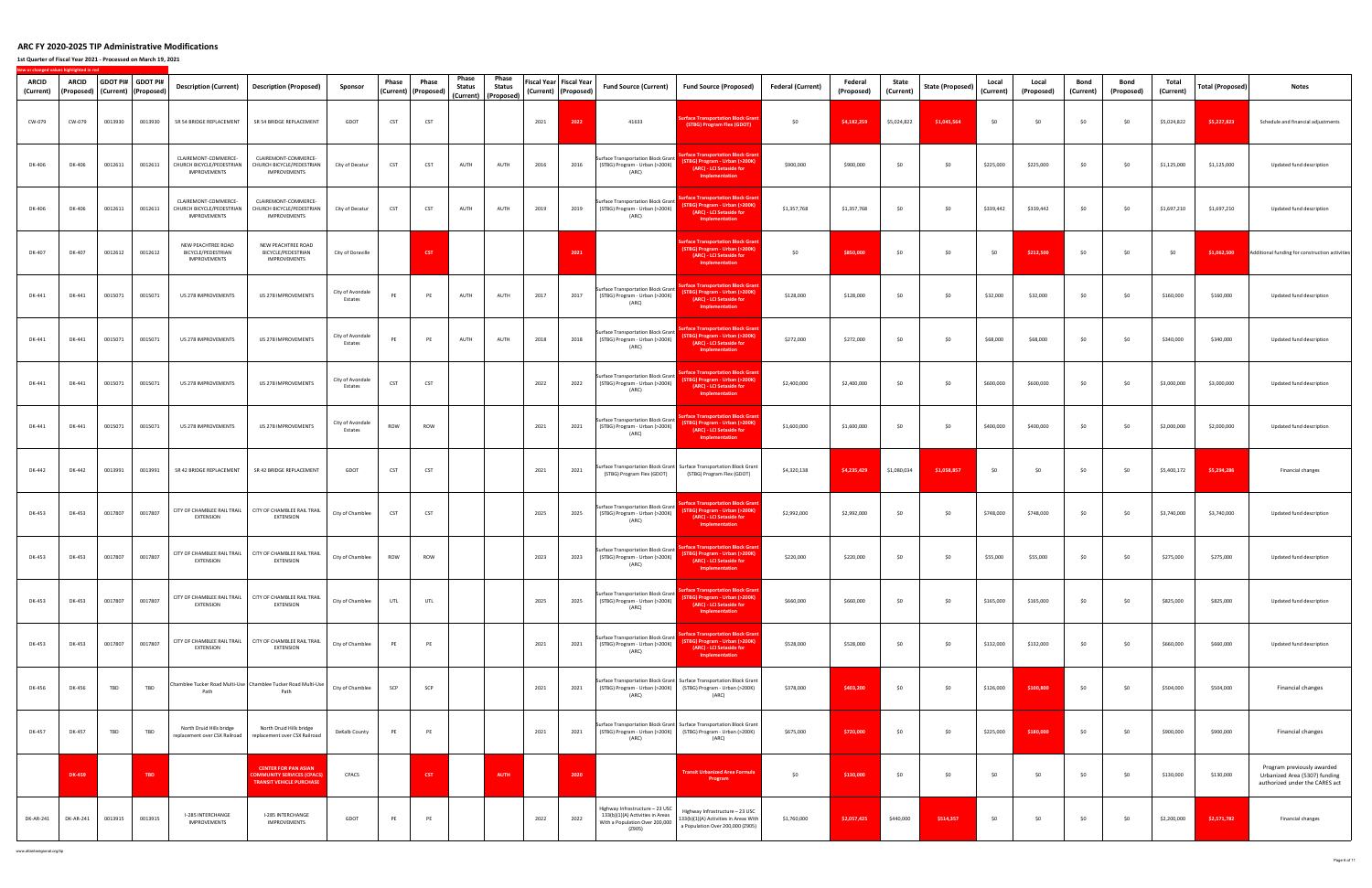**1st Quarter of Fiscal Year 2021 ‐ Processed on March 19, 2021**

**New**

**or changed values highlighted in red**

| ARCID<br>(Current) | <b>ARCID</b><br>(Proposed) |         | GDOT PI# GDOT PI#<br>(Current) (Proposed) | Description (Current)                                             | Description (Proposed)                                                                             | Sponsor                     | Phase | Phase<br>(Current)   (Proposed) | Phase<br>Status<br>(Current) | Phase<br><b>Status</b><br>(Proposed) |      | Fiscal Year   Fiscal Year<br>(Current) (Proposed) | <b>Fund Source (Current)</b>                                                                                    | <b>Fund Source (Proposed)</b>                                                                                                                   | <b>Federal (Current)</b> | Federal<br>(Proposed) | State<br>(Current) | State (Proposed) | Local<br>(Current) | Local<br>(Proposed) | Bond<br>(Current) | Bond<br>(Proposed) | Total<br>(Current) | Total (Proposed) | <b>Notes</b>                                                                                  |
|--------------------|----------------------------|---------|-------------------------------------------|-------------------------------------------------------------------|----------------------------------------------------------------------------------------------------|-----------------------------|-------|---------------------------------|------------------------------|--------------------------------------|------|---------------------------------------------------|-----------------------------------------------------------------------------------------------------------------|-------------------------------------------------------------------------------------------------------------------------------------------------|--------------------------|-----------------------|--------------------|------------------|--------------------|---------------------|-------------------|--------------------|--------------------|------------------|-----------------------------------------------------------------------------------------------|
| CW-079             | CW-079                     | 0013930 | 0013930                                   | SR 54 BRIDGE REPLACEMENT                                          | SR 54 BRIDGE REPLACEMENT                                                                           | GDOT                        | CST   | CST                             |                              |                                      | 2021 | 2022                                              | 41633                                                                                                           | urface Transportation Block Grai<br>(STBG) Program Flex (GDOT)                                                                                  | \$0                      | \$4,182,259           | \$5,024,822        | \$1,045,564      | \$0                | \$0                 | \$0               | \$0                | \$5,024,822        | \$5,227,823      | Schedule and financial adjustments                                                            |
| DK-406             | DK-406                     | 0012611 | 0012611                                   | CLAIREMONT-COMMERCE-<br>CHURCH BICYCLE/PEDESTRIAN<br>IMPROVEMENTS | CLAIREMONT-COMMERCE-<br>CHURCH BICYCLE/PEDESTRIAN<br>IMPROVEMENTS                                  | City of Decatur             | CST   | CST                             | AUTH                         | AUTH                                 | 2016 | 2016                                              | Surface Transportation Block Grant<br>(STBG) Program - Urban (>200K)<br>(ARC)                                   | urface Transportation Block Gran<br>(STBG) Program - Urban (>200K)<br>(ARC) - LCI Setaside for<br>Implementation                                | \$900,000                | \$900,000             | \$0                | \$0              | \$225,000          | \$225,000           | \$0               | \$0                | \$1,125,000        | \$1,125,000      | Updated fund description                                                                      |
| DK-406             | DK-406                     | 0012611 | 0012611                                   | CLAIREMONT-COMMERCE-<br>CHURCH BICYCLE/PEDESTRIAN<br>IMPROVEMENTS | CLAIREMONT-COMMERCE-<br>CHURCH BICYCLE/PEDESTRIAN<br>IMPROVEMENTS                                  | City of Decatur             | CST   | CST                             | AUTH                         | AUTH                                 | 2019 | 2019                                              | Surface Transportation Block Grant<br>(STBG) Program - Urban (>200K)<br>(ARC)                                   | rface Transportation Block Gran<br>(STBG) Program - Urban (>200K)<br>(ARC) - LCI Setaside for<br>Implementation                                 | \$1,357,768              | \$1,357,768           | \$0                | \$0              | \$339,442          | \$339,442           | \$0               | \$0                | \$1,697,210        | \$1,697,210      | Updated fund description                                                                      |
| DK-407             | DK-407                     | 0012612 | 0012612                                   | NEW PEACHTREE ROAD<br>BICYCLE/PEDESTRIAN<br>IMPROVEMENTS          | NEW PEACHTREE ROAD<br>BICYCLE/PEDESTRIAN<br>IMPROVEMENTS                                           | City of Doraville           |       | <b>CST</b>                      |                              |                                      |      | 2021                                              |                                                                                                                 | <b>Irface Transportation Block Gran</b><br>(STBG) Program - Urban (>200K)<br>(ARC) - LCI Setaside for<br>Implementation                         | \$0                      | \$850,000             | \$0                | \$0              | \$0                | \$212,500           | \$0               | \$0                | \$0                | \$1,062,500      | Additional funding for construction activities                                                |
| DK-441             | DK-441                     | 0015071 | 0015071                                   | US 278 IMPROVEMENTS                                               | US 278 IMPROVEMENTS                                                                                | City of Avondale<br>Estates | PE    | PE                              | AUTH                         | AUTH                                 | 2017 | 2017                                              | <b>Surface Transportation Block Grant</b><br>(STBG) Program - Urban (>200K)<br>(ARC)                            | urface Transportation Block Grant<br>(STBG) Program - Urban (>200K)<br>(ARC) - LCI Setaside for<br>Implementation                               | \$128,000                | \$128,000             | \$0                | \$0              | \$32,000           | \$32,000            | \$0               | \$0                | \$160,000          | \$160,000        | Updated fund description                                                                      |
| DK-441             | DK-441                     | 0015071 | 0015071                                   | US 278 IMPROVEMENTS                                               | US 278 IMPROVEMENTS                                                                                | City of Avondale<br>Estates | PE    | PE                              | AUTH                         | AUTH                                 | 2018 | 2018                                              | <b>Surface Transportation Block Grant</b><br>(STBG) Program - Urban (>200K)<br>(ARC)                            | <b>Irface Transportation Block Gran</b><br>(STBG) Program - Urban (>200K)<br>(ARC) - LCI Setaside for<br>Implementation                         | \$272,000                | \$272,000             | \$0                | \$0              | \$68,000           | \$68,000            | \$0               | \$0                | \$340,000          | \$340,000        | Updated fund description                                                                      |
| DK-441             | DK-441                     | 0015071 | 0015071                                   | US 278 IMPROVEMENTS                                               | US 278 IMPROVEMENTS                                                                                | City of Avondale<br>Estates | CST   | CST                             |                              |                                      | 2022 | 2022                                              | <b>Surface Transportation Block Grant</b><br>(STBG) Program - Urban (>200K)<br>(ARC)                            | <b>rface Transportation Block Grant</b><br>(STBG) Program - Urban (>200K)<br>(ARC) - LCI Setaside for<br>Implementation                         | \$2,400,000              | \$2,400,000           | \$0                | \$0              | \$600,000          | \$600,000           | \$0               | \$0                | \$3,000,000        | \$3,000,000      | Updated fund description                                                                      |
| DK-441             | DK-441                     | 0015071 | 0015071                                   | US 278 IMPROVEMENTS                                               | US 278 IMPROVEMENTS                                                                                | City of Avondale<br>Estates | ROW   | ROW                             |                              |                                      | 2021 | 2021                                              | <b>Surface Transportation Block Grant</b><br>(STBG) Program - Urban (>200K)<br>(ARC)                            | rface Transportation Block Gran<br>STBG) Program - Urban (>200K)<br>(ARC) - LCI Setaside for<br>Implementation                                  | \$1,600,000              | \$1,600,000           | \$0                | \$0              | \$400,000          | \$400,000           | \$0               | \$0                | \$2,000,000        | \$2,000,000      | Updated fund description                                                                      |
| DK-442             | DK-442                     | 0013991 | 0013991                                   | SR 42 BRIDGE REPLACEMENT                                          | SR 42 BRIDGE REPLACEMENT                                                                           | GDOT                        | CST   | CST                             |                              |                                      | 2021 | 2021                                              | (STBG) Program Flex (GDOT)                                                                                      | Surface Transportation Block Grant Surface Transportation Block Grant<br>(STBG) Program Flex (GDOT)                                             | \$4,320,138              | \$4,235,429           | \$1,080,034        | \$1,058,857      | \$0                | \$0                 | \$0               | \$0                | \$5,400,172        | \$5,294,286      | Financial changes                                                                             |
| DK-453             | DK-453                     | 0017807 | 0017807                                   | <b>EXTENSION</b>                                                  | CITY OF CHAMBLEE RAIL TRAIL CITY OF CHAMBLEE RAIL TRAIL<br><b>EXTENSION</b>                        | City of Chamblee            | CST   | CST                             |                              |                                      | 2025 | 2025                                              | <b>Surface Transportation Block Grant</b><br>(STBG) Program - Urban (>200K)<br>(ARC)                            | rface Transportation Block Gra<br>(STBG) Program - Urban (>200K)<br>(ARC) - LCI Setaside for<br>Implementation                                  | \$2,992,000              | \$2,992,000           | \$0                | \$0              | \$748,000          | \$748,000           | \$0               | \$0                | \$3,740,000        | \$3,740,000      | Updated fund description                                                                      |
| DK-453             | DK-453                     | 0017807 | 0017807                                   | <b>EXTENSION</b>                                                  | CITY OF CHAMBLEE RAIL TRAIL   CITY OF CHAMBLEE RAIL TRAIL<br><b>EXTENSION</b>                      | City of Chamblee            | ROW   | ROW                             |                              |                                      | 2023 | 2023                                              | <b>Surface Transportation Block Grant</b><br>(STBG) Program - Urban (>200K)<br>(ARC)                            | rface Transportation Block Grai<br>(STBG) Program - Urban (>200K)<br>(ARC) - LCI Setaside for<br>Implementation                                 | \$220,000                | \$220,000             | \$0                | \$0              | \$55,000           | \$55,000            | \$0               | \$0                | \$275,000          | \$275,000        | Updated fund description                                                                      |
| DK-453             | DK-453                     | 0017807 | 0017807                                   | <b>EXTENSION</b>                                                  | CITY OF CHAMBLEE RAIL TRAIL   CITY OF CHAMBLEE RAIL TRAIL<br>EXTENSION                             | City of Chamblee            | UTL   | UTL                             |                              |                                      | 2025 | 2025                                              | <b>Surface Transportation Block Grant</b><br>(STBG) Program - Urban (>200K)<br>(ARC)                            | rface Transportation Block Gran<br>TBG) Program - Urban (>200K)<br>(ARC) - LCI Setaside for<br>Implementation                                   | \$660,000                | \$660,000             | \$0                | \$0              | \$165,000          | \$165,000           | \$0               | \$0                | \$825,000          | \$825,000        | Updated fund description                                                                      |
| DK-453             | DK-453                     | 0017807 | 0017807                                   | <b>EXTENSION</b>                                                  | CITY OF CHAMBLEE RAIL TRAIL   CITY OF CHAMBLEE RAIL TRAIL<br><b>EXTENSION</b>                      | City of Chamblee            | PE    | PE                              |                              |                                      | 2021 | 2021                                              | <b>Surface Transportation Block Grant</b><br>(STBG) Program - Urban (>200K)<br>(ARC)                            | <b>rface Transportation Block Gran</b><br><b>FTBG) Program - Urban (&gt;200K)</b><br>(ARC) - LCI Setaside for<br>Implementation                 | \$528,000                | \$528,000             | \$0                | \$0              | \$132,000          | \$132,000           | \$0               | \$0                | \$660,000          | \$660,000        | Updated fund description                                                                      |
| DK-456             | DK-456                     | TBD     | TBD                                       | Path                                                              | Chamblee Tucker Road Multi-Use Chamblee Tucker Road Multi-Use<br>Path                              | City of Chamblee            | SCP   | SCP                             |                              |                                      | 2021 | 2021                                              | (ARC)                                                                                                           | Surface Transportation Block Grant Surface Transportation Block Grant<br>(STBG) Program - Urban (>200K) (STBG) Program - Urban (>200K)<br>(ARC) | \$378,000                | \$403,200             | \$0                | \$0              | \$126,000          | \$100,800           | \$0               | \$0                | \$504,000          | \$504,000        | Financial changes                                                                             |
| DK-457             | DK-457                     | TBD     | TBD                                       | North Druid Hills bridge<br>replacement over CSX Railroad         | North Druid Hills bridge<br>replacement over CSX Railroad                                          | DeKalb County               | PE    | PE                              |                              |                                      | 2021 | 2021                                              | (ARC)                                                                                                           | Surface Transportation Block Grant Surface Transportation Block Grant<br>(STBG) Program - Urban (>200K) (STBG) Program - Urban (>200K)<br>(ARC) | \$675,000                | \$720,000             | \$0                | \$0              | \$225,000          | \$180,000           | \$0               | \$0                | \$900,000          | \$900,000        | Financial changes                                                                             |
|                    | DK-459                     |         | TBD                                       |                                                                   | <b>CENTER FOR PAN ASIAN</b><br><b>OMMUNITY SERVICES (CPACS)</b><br><b>TRANSIT VEHICLE PURCHASE</b> | CPACS                       |       | <b>CST</b>                      |                              | <b>AUTH</b>                          |      | 2020                                              |                                                                                                                 | <b>Transit Urbanized Area Formula</b><br>Program                                                                                                | \$0                      | \$130,000             | \$0                | \$0              | \$0                | \$0                 | \$0               | \$0                | \$130,000          | \$130,000        | Program previously awarded<br>Urbanized Area (5307) funding<br>authorized under the CARES act |
| DK-AR-241          | DK-AR-241                  | 0013915 | 0013915                                   | I-285 INTERCHANGE<br>IMPROVEMENTS                                 | I-285 INTERCHANGE<br>IMPROVEMENTS                                                                  | GDOT                        | PE    | PE                              |                              |                                      | 2022 | 2022                                              | Highway Infrastructure - 23 USC<br>133(b)(1)(A) Activities in Areas<br>With a Population Over 200,000<br>(Z905) | Highway Infrastructure - 23 USC<br>133(b)(1)(A) Activities in Areas With<br>a Population Over 200,000 (Z905)                                    | \$1,760,000              | \$2,057,425           | \$440,000          | \$514,357        | \$0                | \$0                 | \$0               | \$0                | \$2,200,000        | \$2,571,782      | Financial changes                                                                             |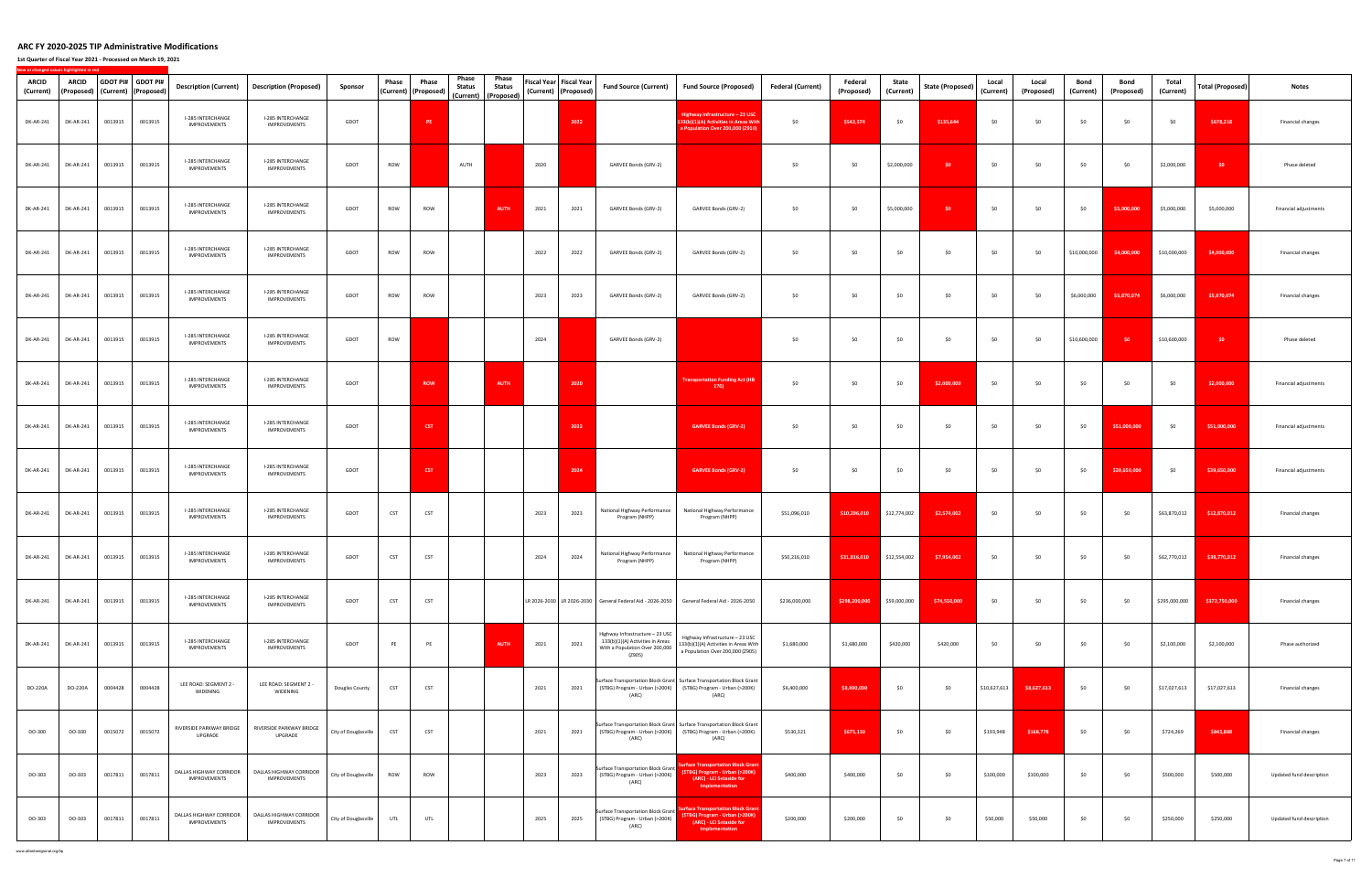**1st Quarter of Fiscal Year 2021 ‐ Processed on March 19, 2021**

| <b>ARCID</b><br>(Current) | ARCID            | (Proposed) (Current) (Proposed) | GDOT PI# GDOT PI# | <b>Description (Current)</b>             | <b>Description (Proposed)</b>                                          | Sponsor              | Phase | Phase<br>(Current) (Proposed) | Phase<br>Status | Phase<br><b>Status</b><br>(Current) (Proposed) | Fiscal Year   Fiscal Year<br>(Current) (Proposed) |      | <b>Fund Source (Current)</b>                                                                                    | <b>Fund Source (Proposed)</b>                                                                                                                   | <b>Federal (Current)</b> | Federal<br>(Proposed)      | State<br>(Current) | <b>State (Proposed)</b> | Local<br>(Current) | Local<br>(Proposed) | Bond<br>(Current) | Bond<br>(Proposed) | Total<br>(Current) | Total (Proposed) | <b>Notes</b>             |
|---------------------------|------------------|---------------------------------|-------------------|------------------------------------------|------------------------------------------------------------------------|----------------------|-------|-------------------------------|-----------------|------------------------------------------------|---------------------------------------------------|------|-----------------------------------------------------------------------------------------------------------------|-------------------------------------------------------------------------------------------------------------------------------------------------|--------------------------|----------------------------|--------------------|-------------------------|--------------------|---------------------|-------------------|--------------------|--------------------|------------------|--------------------------|
| DK-AR-241                 | DK-AR-241        | 0013915                         | 0013915           | I-285 INTERCHANGE<br>IMPROVEMENTS        | I-285 INTERCHANGE<br>IMPROVEMENTS                                      | GDOT                 |       | $\ensuremath{\mathsf{PE}}$    |                 |                                                |                                                   | 2022 |                                                                                                                 | Highway Infrastructure - 23 USC<br>33(b)(1)(A) Activities in Areas Wit<br>a Population Over 200,000 (Z910)                                      | \$0                      | \$542,574                  | \$0                | \$135,644               | \$0                | \$0                 | \$0               | \$0                | \$0                | \$678,218        | Financial changes        |
| DK-AR-241                 | DK-AR-241        | 0013915                         | 0013915           | I-285 INTERCHANGE<br><b>IMPROVEMENTS</b> | I-285 INTERCHANGE<br>IMPROVEMENTS                                      | GDOT                 | ROW   |                               | AUTH            |                                                | 2020                                              |      | GARVEE Bonds (GRV-2)                                                                                            |                                                                                                                                                 | \$0                      | \$0                        | \$2,000,000        | \$0                     | \$0                | \$0                 | \$0               | \$0                | \$2,000,000        | \$0              | Phase deleted            |
| DK-AR-241                 | <b>DK-AR-241</b> | 0013915                         | 0013915           | I-285 INTERCHANGE<br><b>IMPROVEMENTS</b> | I-285 INTERCHANGE<br><b>IMPROVEMENTS</b>                               | GDOT                 | ROW   | ROW                           |                 | <b>AUTH</b>                                    | 2021                                              | 2021 | GARVEE Bonds (GRV-2)                                                                                            | GARVEE Bonds (GRV-2)                                                                                                                            | \$0                      | \$0                        | \$5,000,000        | \$0                     | \$0                | \$0                 | \$0               | \$5,000,000        | \$5,000,000        | \$5,000,000      | Financial adjustments    |
| DK-AR-241                 | DK-AR-241        | 0013915                         | 0013915           | I-285 INTERCHANGE<br><b>IMPROVEMENTS</b> | I-285 INTERCHANGE<br><b>IMPROVEMENTS</b>                               | GDOT                 | ROW   | ROW                           |                 |                                                | 2022                                              | 2022 | GARVEE Bonds (GRV-2)                                                                                            | GARVEE Bonds (GRV-2)                                                                                                                            | \$0                      | \$0                        | \$0                | \$0                     | \$0                | 50                  | \$10,000,000      | \$4,000,000        | \$10,000,000       | \$4,000,000      | Financial changes        |
| DK-AR-241                 | DK-AR-241        | 0013915                         | 0013915           | I-285 INTERCHANGE<br><b>IMPROVEMENTS</b> | I-285 INTERCHANGE<br><b>IMPROVEMENTS</b>                               | GDOT                 | ROW   | ROW                           |                 |                                                | 2023                                              | 2023 | GARVEE Bonds (GRV-2)                                                                                            | GARVEE Bonds (GRV-2)                                                                                                                            | \$0                      | \$0                        | \$0                | \$0                     | \$0                | \$0                 | \$6,000,000       | \$5,870,074        | \$6,000,000        | \$5,870,074      | Financial changes        |
| DK-AR-241                 | DK-AR-241        | 0013915                         | 0013915           | I-285 INTERCHANGE<br><b>IMPROVEMENTS</b> | I-285 INTERCHANGE<br>IMPROVEMENTS                                      | GDOT                 | ROW   |                               |                 |                                                | 2024                                              |      | GARVEE Bonds (GRV-2)                                                                                            |                                                                                                                                                 | \$0                      | \$0                        | \$0                | \$0                     | \$0                | 50                  | \$10,600,000      | \$0                | \$10,600,000       | \$0              | Phase deleted            |
| DK-AR-241                 | DK-AR-241        | 0013915                         | 0013915           | I-285 INTERCHANGE<br><b>IMPROVEMENTS</b> | <b>I-285 INTERCHANGE</b><br><b>IMPROVEMENTS</b>                        | GDOT                 |       | <b>ROW</b>                    |                 | <b>AUTH</b>                                    |                                                   | 2020 |                                                                                                                 | <b>Transportation Funding Act (HB</b><br>170)                                                                                                   | \$0                      | \$0                        | \$0                | \$2,000,000             | \$0                | \$0                 | \$0               | \$0                | \$0                | \$2,000,000      | Financial adjustments    |
| DK-AR-241                 | DK-AR-241        | 0013915                         | 0013915           | I-285 INTERCHANGE<br>IMPROVEMENTS        | I-285 INTERCHANGE<br><b>IMPROVEMENTS</b>                               | GDOT                 |       | <b>CST</b>                    |                 |                                                |                                                   | 2023 |                                                                                                                 | <b>GARVEE Bonds (GRV-2)</b>                                                                                                                     | \$0                      | \$0                        | \$0                | \$0                     | \$0                | \$0                 | \$0               | \$51,000,000       | \$0                | \$51,000,000     | Financial adjustments    |
| DK-AR-241                 | DK-AR-241        | 0013915                         | 0013915           | I-285 INTERCHANGE<br><b>IMPROVEMENTS</b> | I-285 INTERCHANGE<br><b>IMPROVEMENTS</b>                               | GDOT                 |       | <b>CST</b>                    |                 |                                                |                                                   | 2024 |                                                                                                                 | <b>GARVEE Bonds (GRV-2)</b>                                                                                                                     | \$0                      | \$0                        | \$0                | \$0                     | \$0                | \$0                 | \$0               | \$39,650,000       | -SO                | \$39,650,000     | Financial adjustments    |
| DK-AR-241                 | DK-AR-241        | 0013915                         | 0013915           | I-285 INTERCHANGE<br><b>IMPROVEMENTS</b> | I-285 INTERCHANGE<br><b>IMPROVEMENTS</b>                               | GDOT                 | CST   | CST                           |                 |                                                | 2023                                              | 2023 | National Highway Performance<br>Program (NHPP)                                                                  | National Highway Performance<br>Program (NHPP)                                                                                                  | \$51,096,010             | \$10,296,010               | \$12,774,002       | \$2,574,002             | \$0                | \$0                 | \$0               | \$0                | \$63,870,012       | \$12,870,012     | Financial changes        |
| DK-AR-241                 | DK-AR-241        | 0013915                         | 0013915           | I-285 INTERCHANGE<br>IMPROVEMENTS        | I-285 INTERCHANGE<br><b>IMPROVEMENTS</b>                               | GDOT                 | CST   | CST                           |                 |                                                | 2024                                              | 2024 | National Highway Performance<br>Program (NHPP)                                                                  | National Highway Performance<br>Program (NHPP)                                                                                                  | \$50,216,010             | \$31,816,010               | \$12,554,002       | \$7,954,002             | \$0                | \$0                 | \$0               | \$0                | \$62,770,012       | \$39,770,012     | Financial changes        |
| DK-AR-241                 | DK-AR-241        | 0013915                         | 0013915           | I-285 INTERCHANGE<br>IMPROVEMENTS        | I-285 INTERCHANGE<br>IMPROVEMENTS                                      | GDOT                 | CST   | CST                           |                 |                                                |                                                   |      | LR 2026-2030 LR 2026-2030 General Federal Aid - 2026-2050                                                       | General Federal Aid - 2026-2050                                                                                                                 | \$236,000,000            | \$298,200,000 \$59,000,000 |                    | \$74,550,000            | \$0                | \$0                 | \$0               | \$0                | \$295,000,000      | \$372,750,000    | Financial changes        |
| DK-AR-241                 | DK-AR-241        | 0013915                         | 0013915           | I-285 INTERCHANGE<br>IMPROVEMENTS        | I-285 INTERCHANGE<br>IMPROVEMENTS                                      | GDOT                 | PE    | PE                            |                 | <b>AUTH</b>                                    | 2021                                              | 2021 | Highway Infrastructure - 23 USC<br>133(b)(1)(A) Activities in Areas<br>With a Population Over 200,000<br>(Z905) | Highway Infrastructure - 23 USC<br>133(b)(1)(A) Activities in Areas With<br>a Population Over 200,000 (Z905)                                    | \$1,680,000              | \$1,680,000                | \$420,000          | \$420,000               | \$0                | \$0                 | \$0               | \$0                | \$2,100,000        | \$2,100,000      | Phase authorized         |
| DO-220A                   | DO-220A          | 0004428                         | 0004428           | LEE ROAD: SEGMENT 2<br>WIDENING          | LEE ROAD: SEGMENT 2 -<br>WIDENING                                      | Douglas County       | CST   | CST                           |                 |                                                | 2021                                              | 2021 | (ARC)                                                                                                           | Surface Transportation Block Grant Surface Transportation Block Grant<br>(STBG) Program - Urban (>200K) (STBG) Program - Urban (>200K)<br>(ARC) | \$6,400,000              | \$8,400,000                | \$0                | \$0                     | \$10,627,613       | \$8,627,613         | \$0               | \$0                | \$17,027,613       | \$17,027,613     | Financial changes        |
| DO-300                    | DO-300           | 0015072                         | 0015072           | RIVERSIDE PARKWAY BRIDGE<br>UPGRADE      | RIVERSIDE PARKWAY BRIDGE<br>UPGRADE                                    | City of Douglasville | CST   | CST                           |                 |                                                | 2021                                              | 2021 | (ARC)                                                                                                           | Surface Transportation Block Grant Surface Transportation Block Grant<br>(STBG) Program - Urban (>200K) (STBG) Program - Urban (>200K)<br>(ARC) | \$530,321                | \$675,110                  | \$0                | \$0                     | \$193,948          | \$168,778           | \$0               | \$0                | \$724,269          | \$843,888        | Financial changes        |
| DO-303                    | DO-303           | 0017811                         | 0017811           | DALLAS HIGHWAY CORRIDOR<br>IMPROVEMENTS  | DALLAS HIGHWAY CORRIDOR<br><b>IMPROVEMENTS</b>                         | City of Douglasville | ROW   | ROW                           |                 |                                                | 2023                                              | 2023 | <b>Surface Transportation Block Grant</b><br>(STBG) Program - Urban (>200K)<br>(ARC)                            | urface Transportation Block Gran<br>(STBG) Program - Urban (>200K)<br>(ARC) - LCI Setaside for<br>Implementation                                | \$400,000                | \$400,000                  | \$0                | \$0                     | \$100,000          | \$100,000           | \$0               | \$0                | \$500,000          | \$500,000        | Updated fund description |
| DO-303                    | DO-303           | 0017811                         | 0017811           | IMPROVEMENTS                             | DALLAS HIGHWAY CORRIDOR DALLAS HIGHWAY CORRIDOR<br><b>IMPROVEMENTS</b> | City of Douglasville | UTL   | UTL                           |                 |                                                | 2025                                              | 2025 | <b>Surface Transportation Block Grant</b><br>(STBG) Program - Urban (>200K)<br>(ARC)                            | rface Transportation Block Grant<br>(STBG) Program - Urban (>200K)<br>(ARC) - LCI Setaside for<br>Implementation                                | \$200,000                | \$200,000                  | \$0                | \$0                     | \$50,000           | \$50,000            | \$0               | \$0                | \$250,000          | \$250,000        | Updated fund description |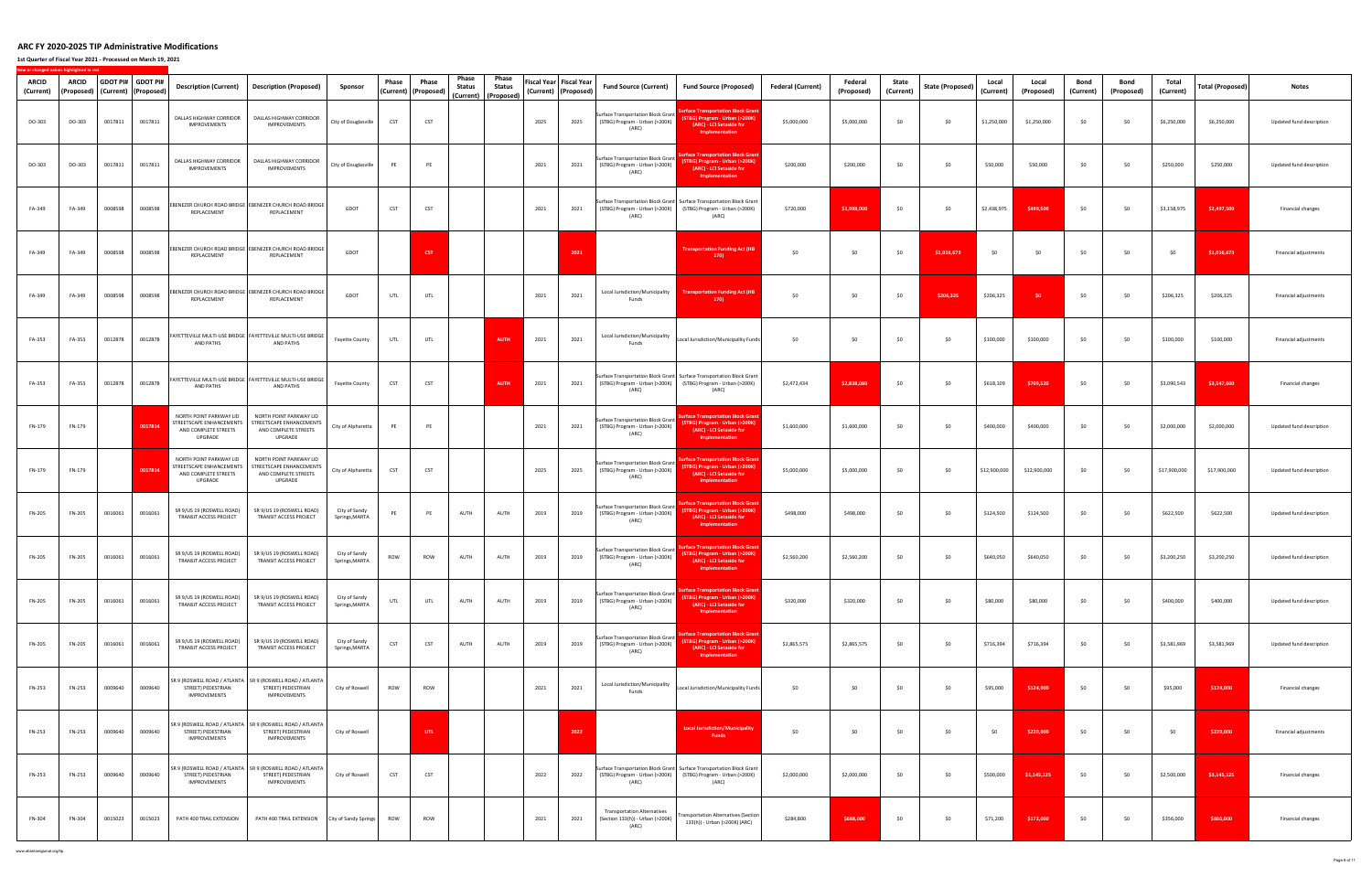**1st Quarter of Fiscal Year 2021 ‐ Processed on March 19, 2021**

**New**

**or changed values highlighted in red**

| <b>ARCID</b><br>(Current) | <b>ARCID</b><br>(Proposed) | GDOT PI# GDOT PI# | (Current) (Proposed) | <b>Description (Current)</b>                                                           | Description (Proposed)                                                                                   | Sponsor                         | Phase | Phase<br>(Current)   (Proposed) | Phase<br>Status<br>(Current) | Phase<br><b>Status</b><br>(Proposed) |      | Fiscal Year   Fiscal Year<br>(Current) (Proposed) | <b>Fund Source (Current)</b>                                                         | <b>Fund Source (Proposed)</b>                                                                                                                   | <b>Federal (Current)</b> | Federal<br>(Proposed) | State<br>(Current) | State (Proposed) | Local<br>(Current) | Local<br>(Proposed) | Bond<br>(Current) | Bond<br>(Proposed) | Total<br>(Current) | Total (Proposed) | Notes                    |
|---------------------------|----------------------------|-------------------|----------------------|----------------------------------------------------------------------------------------|----------------------------------------------------------------------------------------------------------|---------------------------------|-------|---------------------------------|------------------------------|--------------------------------------|------|---------------------------------------------------|--------------------------------------------------------------------------------------|-------------------------------------------------------------------------------------------------------------------------------------------------|--------------------------|-----------------------|--------------------|------------------|--------------------|---------------------|-------------------|--------------------|--------------------|------------------|--------------------------|
| DO-303                    | DO-303                     | 0017811           | 0017811              | DALLAS HIGHWAY CORRIDOR<br><b>IMPROVEMENTS</b>                                         | DALLAS HIGHWAY CORRIDOR<br><b>IMPROVEMENTS</b>                                                           | City of Douglasville            | CST   | CST                             |                              |                                      | 2025 | 2025                                              | Surface Transportation Block Grant<br>(STBG) Program - Urban (>200K)<br>(ARC)        | rface Transportation Block Gra<br><b>STBG) Program - Urban (&gt;200K)</b><br>(ARC) - LCI Setaside for<br>Implementation                         | \$5,000,000              | \$5,000,000           | \$0                | \$0              | \$1,250,000        | \$1,250,000         | \$0               | \$0                | \$6,250,000        | \$6,250,000      | Updated fund description |
| DO-303                    | DO-303                     | 0017811           | 0017811              | DALLAS HIGHWAY CORRIDOR<br>IMPROVEMENTS                                                | DALLAS HIGHWAY CORRIDOR<br><b>IMPROVEMENTS</b>                                                           | City of Douglasville            | PE    | PE                              |                              |                                      | 2021 | 2021                                              | <b>Surface Transportation Block Grant</b><br>(STBG) Program - Urban (>200K)<br>(ARC) | rface Transportation Block Grar<br>STBG) Program - Urban (>200K)<br>(ARC) - LCI Setaside for<br>Implementation                                  | \$200,000                | \$200,000             | \$0                | \$0              | \$50,000           | \$50,000            | \$0               | \$0                | \$250,000          | \$250,000        | Updated fund description |
| FA-349                    | FA-349                     | 0008598           | 0008598              | REPLACEMENT                                                                            | EBENEZER CHURCH ROAD BRIDGE EBENEZER CHURCH ROAD BRIDGE<br>REPLACEMENT                                   | GDOT                            | CST   | CST                             |                              |                                      | 2021 | 2021                                              | (ARC)                                                                                | Surface Transportation Block Grant Surface Transportation Block Grant<br>(STBG) Program - Urban (>200K) (STBG) Program - Urban (>200K)<br>(ARC) | \$720,000                | \$1,998,000           | \$0                | \$0              | \$2,438,975        | \$499,500           | \$0               | \$0                | \$3,158,975        | \$2,497,500      | Financial changes        |
| FA-349                    | FA-349                     | 0008598           | 0008598              | REPLACEMENT                                                                            | EBENEZER CHURCH ROAD BRIDGE EBENEZER CHURCH ROAD BRIDGE<br>REPLACEMENT                                   | GDOT                            |       | <b>CST</b>                      |                              |                                      |      | 2021                                              |                                                                                      | <b>Transportation Funding Act (HB</b><br>170)                                                                                                   | \$0                      | \$0                   | \$0                | \$1,016,673      | \$0                | \$0                 | \$0               | \$0                | <b>SO</b>          | \$1,016,673      | Financial adjustments    |
| FA-349                    | FA-349                     | 0008598           | 0008598              | REPLACEMENT                                                                            | EBENEZER CHURCH ROAD BRIDGE EBENEZER CHURCH ROAD BRIDGE<br>REPLACEMENT                                   | GDOT                            | UTL   | UTL                             |                              |                                      | 2021 | 2021                                              | Local Jurisdiction/Municipality<br>Funds                                             | <b>Transportation Funding Act (HB</b><br>170                                                                                                    | \$0                      | \$0                   | \$0                | \$206,325        | \$206,325          | SO.                 | \$0               | \$0                | \$206,325          | \$206,325        | Financial adjustments    |
| FA-353                    | FA-353                     | 0012878           | 0012878              | AND PATHS                                                                              | FAYETTEVILLE MULTI-USE BRIDGE   FAYETTEVILLE MULTI-USE BRIDGE<br>AND PATHS                               | Fayette County                  | UTL   | UTL                             |                              | <b>AUTH</b>                          | 2021 | 2021                                              | Local Jurisdiction/Municipality<br>Funds                                             | Local Jurisdiction/Municipality Funds                                                                                                           | \$0                      | \$0                   | \$0                | \$0              | \$100,000          | \$100,000           | \$0               | \$0                | \$100,000          | \$100,000        | Financial adjustments    |
| FA-353                    | FA-353                     | 0012878           | 0012878              | AND PATHS                                                                              | FAYETTEVILLE MULTI-USE BRIDGE   FAYETTEVILLE MULTI-USE BRIDGE<br>AND PATHS                               | Fayette County                  | CST   | CST                             |                              | <b>AUTH</b>                          | 2021 | 2021                                              | (ARC)                                                                                | Surface Transportation Block Grant Surface Transportation Block Grant<br>(STBG) Program - Urban (>200K) (STBG) Program - Urban (>200K)<br>(ARC) | \$2,472,434              | \$2,838,080           | \$0                | \$0              | \$618,109          | \$709,520           | \$0               | \$0                | \$3,090,543        | \$3,547,600      | Financial changes        |
| FN-179                    | FN-179                     |                   | 0017814              | NORTH POINT PARKWAY LID<br>STREETSCAPE ENHANCEMENTS<br>AND COMPLETE STREETS<br>UPGRADE | NORTH POINT PARKWAY LID<br>STREETSCAPE ENHANCEMENTS<br>AND COMPLETE STREETS<br>UPGRADE                   | City of Alpharetta              | PE    | PE                              |                              |                                      | 2021 | 2021                                              | Surface Transportation Block Grant<br>(STBG) Program - Urban (>200K)<br>(ARC)        | face Transportation Block Gran<br>STBG) Program - Urban (>200K)<br>(ARC) - LCI Setaside for<br>Implementation                                   | \$1,600,000              | \$1,600,000           | \$0                | \$0              | \$400,000          | \$400,000           | \$0               | \$0                | \$2,000,000        | \$2,000,000      | Updated fund description |
| FN-179                    | FN-179                     |                   | 0017814              | NORTH POINT PARKWAY LID<br>STREETSCAPE ENHANCEMENTS<br>AND COMPLETE STREETS<br>UPGRADE | NORTH POINT PARKWAY LID<br>STREETSCAPE ENHANCEMENTS<br>AND COMPLETE STREETS<br>UPGRADE                   | City of Alpharetta              | CST   | CST                             |                              |                                      | 2025 | 2025                                              | Surface Transportation Block Grant<br>(STBG) Program - Urban (>200K)<br>(ARC)        | face Transportation Block Gran<br>STBG) Program - Urban (>200K)<br>(ARC) - LCI Setaside for<br>Implementation                                   | \$5,000,000              | \$5,000,000           | \$0                | \$0              | \$12,900,000       | \$12,900,000        | \$0               | \$0                | \$17,900,000       | \$17,900,000     | Updated fund description |
| FN-205                    | FN-205                     | 0016061           | 0016061              | SR 9/US 19 (ROSWELL ROAD)<br>TRANSIT ACCESS PROJECT                                    | SR 9/US 19 (ROSWELL ROAD)<br>TRANSIT ACCESS PROJECT                                                      | City of Sandy<br>Springs, MARTA | PE    | PE                              | AUTH                         | AUTH                                 | 2019 | 2019                                              | <b>Surface Transportation Block Grant</b><br>(STBG) Program - Urban (>200K)<br>(ARC) | face Transportation Block Grai<br>STBG) Program - Urban (>200K)<br>(ARC) - LCI Setaside for<br>Implementation                                   | \$498,000                | \$498,000             | \$0                | \$0              | \$124,500          | \$124,500           | \$0               | \$0                | \$622,500          | \$622,500        | Updated fund description |
| <b>FN-205</b>             | FN-205                     | 0016061           | 0016061              | SR 9/US 19 (ROSWELL ROAD)<br>TRANSIT ACCESS PROJECT                                    | SR 9/US 19 (ROSWELL ROAD)<br>TRANSIT ACCESS PROJECT                                                      | City of Sandy<br>Springs, MARTA | ROW   | ROW                             | AUTH                         | AUTH                                 | 2019 | 2019                                              | <b>Surface Transportation Block Grant</b><br>(STBG) Program - Urban (>200K)<br>(ARC) | face Transportation Block Grai<br>STBG) Program - Urban (>200K)<br>(ARC) - LCI Setaside for<br>Implementation                                   | \$2,560,200              | \$2,560,200           | \$0                | \$0              | \$640,050          | \$640,050           | \$0               | \$0                | \$3,200,250        | \$3,200,250      | Updated fund description |
| FN-205                    | FN-205                     | 0016061           | 0016061              | SR 9/US 19 (ROSWELL ROAD)<br>TRANSIT ACCESS PROJECT                                    | SR 9/US 19 (ROSWELL ROAD)<br>TRANSIT ACCESS PROJECT                                                      | City of Sandy<br>Springs, MARTA | UTL   | UTL                             | AUTH                         | AUTH                                 | 2019 | 2019                                              | <b>Surface Transportation Block Grant</b><br>(STBG) Program - Urban (>200K)<br>(ARC) | face Transportation Block Grar<br>STBG) Program - Urban (>200K)<br>(ARC) - LCI Setaside for<br>Implementation                                   | \$320,000                | \$320,000             | \$0                | \$0              | \$80,000           | \$80,000            | \$0               | \$0                | \$400,000          | \$400,000        | Updated fund description |
| FN-205                    | FN-205                     | 0016061           | 0016061              | SR 9/US 19 (ROSWELL ROAD)<br>TRANSIT ACCESS PROJECT                                    | SR 9/US 19 (ROSWELL ROAD)<br>TRANSIT ACCESS PROJECT                                                      | City of Sandy<br>Springs, MARTA | CST   | <b>CST</b>                      | AUTH                         | AUTH                                 | 2019 | 2019                                              | Surface Transportation Block Grant<br>(STBG) Program - Urban (>200K)<br>(ARC)        | face Transportation Block Gran<br><b>STBG) Program - Urban (&gt;200K)</b><br>(ARC) - LCI Setaside for<br>Implementation                         | \$2,865,575              | \$2,865,575           | \$0                | \$0              | \$716,394          | \$716,394           | \$0               | \$0                | \$3,581,969        | \$3,581,969      | Updated fund description |
| FN-253                    | FN-253                     | 0009640           | 0009640              | STREET) PEDESTRIAN<br>IMPROVEMENTS                                                     | SR 9 (ROSWELL ROAD / ATLANTA   SR 9 (ROSWELL ROAD / ATLANTA<br>STREET) PEDESTRIAN<br><b>IMPROVEMENTS</b> | City of Roswell                 | ROW   | ROW                             |                              |                                      | 2021 | 2021                                              | Local Jurisdiction/Municipality<br>Funds                                             | Local Jurisdiction/Municipality Funds                                                                                                           | \$0                      | \$0                   | \$0                | \$0              | \$95,000           | \$124,000           | \$0               | \$0                | \$95,000           | \$124,000        | Financial changes        |
| FN-253                    | FN-253                     | 0009640           | 0009640              | STREET) PEDESTRIAN<br>IMPROVEMENTS                                                     | SR 9 (ROSWELL ROAD / ATLANTA   SR 9 (ROSWELL ROAD / ATLANTA<br>STREET) PEDESTRIAN<br><b>IMPROVEMENTS</b> | City of Roswell                 |       | UTL.                            |                              |                                      |      | 2022                                              |                                                                                      | <b>Local Jurisdiction/Municipality</b><br><b>Funds</b>                                                                                          | \$0                      | \$0                   | \$0                | \$0              | \$0                | \$220,000           | \$0               | \$0                | \$0                | \$220,000        | Financial adjustments    |
| FN-253                    | FN-253                     | 0009640           | 0009640              | STREET) PEDESTRIAN<br>IMPROVEMENTS                                                     | SR 9 (ROSWELL ROAD / ATLANTA   SR 9 (ROSWELL ROAD / ATLANTA<br>STREET) PEDESTRIAN<br><b>IMPROVEMENTS</b> | City of Roswell                 | CST   | CST                             |                              |                                      | 2022 | 2022                                              | (ARC)                                                                                | Surface Transportation Block Grant Surface Transportation Block Grant<br>(STBG) Program - Urban (>200K) (STBG) Program - Urban (>200K)<br>(ARC) | \$2,000,000              | \$2,000,000           | \$0                | \$0              | \$500,000          | \$1,145,125         | \$0               | \$0                | \$2,500,000        | \$3,145,125      | Financial changes        |
| FN-304                    | FN-304                     | 0015023           | 0015023              | PATH 400 TRAIL EXTENSION                                                               | PATH 400 TRAIL EXTENSION                                                                                 | City of Sandy Springs           | ROW   | ROW                             |                              |                                      | 2021 | 2021                                              | <b>Transportation Alternatives</b><br>(Section 133(h)) - Urban (>200K)<br>(ARC)      | ansportation Alternatives (Section<br>133(h)) - Urban (>200K) (ARC)                                                                             | \$284,800                | \$688,000             | \$0                | \$0              | \$71,200           | \$172,000           | \$0               | \$0                | \$356,000          | \$860,000        | Financial changes        |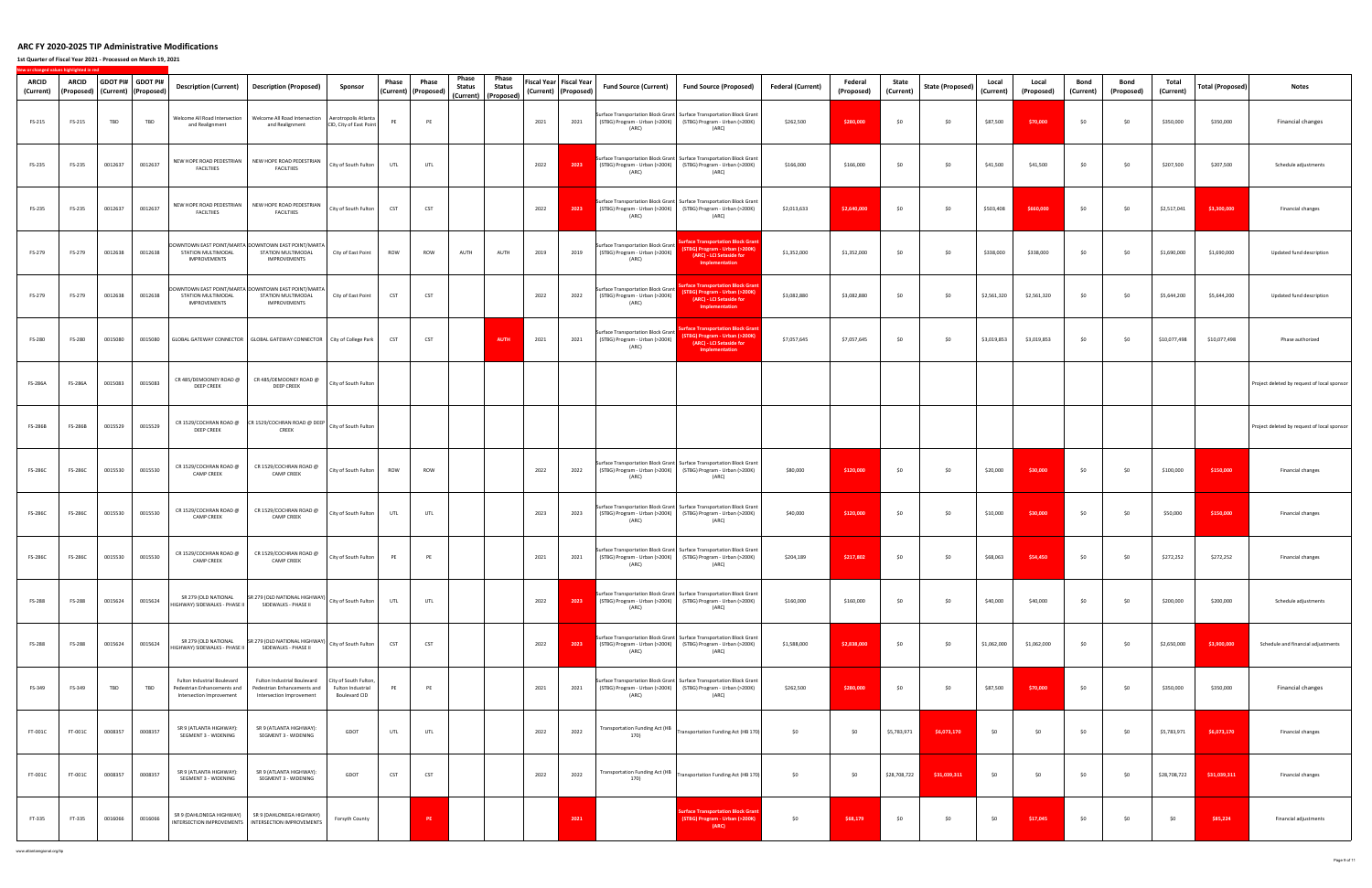**1st Quarter of Fiscal Year 2021 ‐ Processed on March 19, 2021**

| ARCID<br>(Current) | ARCID          |         | GDOT PI# GDOT PI#<br>(Proposed) (Current) (Proposed) | Description (Current)                                                                  | <b>Description (Proposed)</b>                                                                                | Sponsor                                                     | Phase      | Phase<br>(Current)   (Proposed) | Phase<br><b>Status</b> | Phase<br><b>Status</b><br>(Current) (Proposed) |      | Fiscal Year   Fiscal Year<br>(Current) (Proposed) | <b>Fund Source (Current)</b>                                                         | <b>Fund Source (Proposed)</b>                                                                                                                   | <b>Federal (Current)</b> | Federal<br>(Proposed) | State<br>(Current) | <b>State (Proposed)</b> | Local<br>(Current) | Local<br>(Proposed) | Bond<br>(Current) | Bond<br>(Proposed) | Total<br>(Current) | Total (Proposed) | <b>Notes</b>                                |
|--------------------|----------------|---------|------------------------------------------------------|----------------------------------------------------------------------------------------|--------------------------------------------------------------------------------------------------------------|-------------------------------------------------------------|------------|---------------------------------|------------------------|------------------------------------------------|------|---------------------------------------------------|--------------------------------------------------------------------------------------|-------------------------------------------------------------------------------------------------------------------------------------------------|--------------------------|-----------------------|--------------------|-------------------------|--------------------|---------------------|-------------------|--------------------|--------------------|------------------|---------------------------------------------|
| FS-215             | FS-215         | TBD     | TBD                                                  | Welcome All Road Intersection<br>and Realignment                                       | Welcome All Road Intersection<br>and Realignment                                                             | Aerotropolis Atlanta<br>CID, City of East Point             | PE         | PE                              |                        |                                                | 2021 | 2021                                              | (ARC)                                                                                | Surface Transportation Block Grant Surface Transportation Block Grant<br>(STBG) Program - Urban (>200K) (STBG) Program - Urban (>200K)<br>(ARC) | \$262,500                | \$280,000             | \$0                | \$0                     | \$87,500           | \$70,000            | \$0               | \$0                | \$350,000          | \$350,000        | Financial changes                           |
| FS-235             | FS-235         | 0012637 | 0012637                                              | NEW HOPE ROAD PEDESTRIAN<br><b>FACILTIIES</b>                                          | NEW HOPE ROAD PEDESTRIAN<br><b>FACILTIIES</b>                                                                | City of South Fulton                                        | UTL        | UTL                             |                        |                                                | 2022 | 2023                                              | (ARC)                                                                                | Surface Transportation Block Grant Surface Transportation Block Grant<br>(STBG) Program - Urban (>200K) (STBG) Program - Urban (>200K)<br>(ARC) | \$166,000                | \$166,000             | \$0                | \$0                     | \$41,500           | \$41,500            | \$0               | \$0                | \$207,500          | \$207,500        | Schedule adjustments                        |
| FS-235             | FS-235         | 0012637 | 0012637                                              | <b>FACILTIIES</b>                                                                      | NEW HOPE ROAD PEDESTRIAN NEW HOPE ROAD PEDESTRIAN<br><b>FACILTIIES</b>                                       | City of South Fulton                                        | CST        | CST                             |                        |                                                | 2022 | 2023                                              | (ARC)                                                                                | Surface Transportation Block Grant Surface Transportation Block Grant<br>(STBG) Program - Urban (>200K) (STBG) Program - Urban (>200K)<br>(ARC) | \$2,013,633              | \$2,640,000           | \$0                | \$0                     | \$503,408          | \$660,000           | \$0               | \$0                | \$2,517,041        | \$3,300,000      | Financial changes                           |
| FS-279             | FS-279         | 0012638 | 0012638                                              | STATION MULTIMODAL<br>IMPROVEMENTS                                                     | DOWNTOWN EAST POINT/MARTA DOWNTOWN EAST POINT/MARTA<br>STATION MULTIMODAL<br><b>IMPROVEMENTS</b>             | City of East Point                                          | ROW        | ROW                             | AUTH                   | AUTH                                           | 2019 | 2019                                              | Surface Transportation Block Grant<br>(STBG) Program - Urban (>200K)<br>(ARC)        | <b>Surface Transportation Block Grai</b><br>(STBG) Program - Urban (>200K)<br>(ARC) - LCI Setaside for<br>Implementation                        | \$1,352,000              | \$1,352,000           | \$0                | \$0                     | \$338,000          | \$338,000           | \$0               | \$0                | \$1,690,000        | \$1,690,000      | Updated fund description                    |
| FS-279             | FS-279         | 0012638 | 0012638                                              | STATION MULTIMODAL<br><b>IMPROVEMENTS</b>                                              | DOWNTOWN EAST POINT/MARTA DOWNTOWN EAST POINT/MARTA<br>STATION MULTIMODAL<br><b>IMPROVEMENTS</b>             | City of East Point                                          | CST        | CST                             |                        |                                                | 2022 | 2022                                              | <b>Surface Transportation Block Grant</b><br>(STBG) Program - Urban (>200K)<br>(ARC) | urface Transportation Block Gran<br>(STBG) Program - Urban (>200K)<br>(ARC) - LCI Setaside for<br>Implementation                                | \$3,082,880              | \$3,082,880           | \$0                | \$0                     | \$2,561,320        | \$2,561,320         | \$0               | \$0                | \$5,644,200        | \$5,644,200      | Updated fund description                    |
| FS-280             | FS-280         | 0015080 | 0015080                                              |                                                                                        | GLOBAL GATEWAY CONNECTOR GLOBAL GATEWAY CONNECTOR City of College Park                                       |                                                             | CST        | CST                             |                        | <b>AUTH</b>                                    | 2021 | 2021                                              | <b>Surface Transportation Block Grant</b><br>(STBG) Program - Urban (>200K)<br>(ARC) | <b>urface Transportation Block Gray</b><br>(STBG) Program - Urban (>200K)<br>(ARC) - LCI Setaside for<br>Implementation                         | \$7,057,645              | \$7,057,645           | \$0                | \$0                     | \$3,019,853        | \$3,019,853         | \$0               | \$0                | \$10,077,498       | \$10,077,498     | Phase authorized                            |
| FS-286A            | <b>FS-286A</b> | 0015083 | 0015083                                              | CR 485/DEMOONEY ROAD @<br><b>DEEP CREEK</b>                                            | CR 485/DEMOONEY ROAD @<br><b>DEEP CREEK</b>                                                                  | City of South Fulton                                        |            |                                 |                        |                                                |      |                                                   |                                                                                      |                                                                                                                                                 |                          |                       |                    |                         |                    |                     |                   |                    |                    |                  | Project deleted by request of local sponsor |
| <b>FS-286B</b>     | <b>FS-286B</b> | 0015529 | 0015529                                              | <b>DEEP CREEK</b>                                                                      | CR 1529/COCHRAN ROAD @ CR 1529/COCHRAN ROAD @ DEEP City of South Fulton<br>CREEK                             |                                                             |            |                                 |                        |                                                |      |                                                   |                                                                                      |                                                                                                                                                 |                          |                       |                    |                         |                    |                     |                   |                    |                    |                  | Project deleted by request of local sponsor |
| <b>FS-286C</b>     | <b>FS-286C</b> | 0015530 | 0015530                                              | CR 1529/COCHRAN ROAD @<br><b>CAMP CREEK</b>                                            | CR 1529/COCHRAN ROAD @<br><b>CAMP CREEK</b>                                                                  | City of South Fulton                                        | ROW        | ROW                             |                        |                                                | 2022 | 2022                                              | (ARC)                                                                                | Surface Transportation Block Grant Surface Transportation Block Grant<br>(STBG) Program - Urban (>200K) (STBG) Program - Urban (>200K)<br>(ARC) | \$80,000                 | \$120,000             | \$0                | \$0                     | \$20,000           | \$30,000            | \$0               | \$0                | \$100,000          | \$150,000        | Financial changes                           |
| <b>FS-286C</b>     | <b>FS-286C</b> | 0015530 | 0015530                                              | CR 1529/COCHRAN ROAD @<br><b>CAMP CREEK</b>                                            | CR 1529/COCHRAN ROAD @<br><b>CAMP CREEK</b>                                                                  | City of South Fulton                                        | UTL        | UTL                             |                        |                                                | 2023 | 2023                                              | (ARC)                                                                                | Surface Transportation Block Grant Surface Transportation Block Grant<br>(STBG) Program - Urban (>200K) (STBG) Program - Urban (>200K)<br>(ARC) | \$40,000                 | \$120,000             | \$0                | \$0                     | \$10,000           | \$30,000            | \$0               | \$0                | \$50,000           | \$150,000        | Financial changes                           |
| <b>FS-286C</b>     | <b>FS-286C</b> | 0015530 | 0015530                                              | CR 1529/COCHRAN ROAD @<br><b>CAMP CREEK</b>                                            | CR 1529/COCHRAN ROAD @<br><b>CAMP CREEK</b>                                                                  | City of South Fulton                                        | PE         | PE                              |                        |                                                | 2021 | 2021                                              | (ARC)                                                                                | Surface Transportation Block Grant Surface Transportation Block Grant<br>(STBG) Program - Urban (>200K) (STBG) Program - Urban (>200K)<br>(ARC) | \$204,189                | \$217,802             | \$0                | \$0                     | \$68,063           | \$54,450            | \$0               | \$0                | \$272,252          | \$272,252        | Financial changes                           |
| <b>FS-288</b>      | FS-288         | 0015624 | 0015624                                              | SR 279 (OLD NATIONAL<br>HIGHWAY) SIDEWALKS - PHASE II                                  | SR 279 (OLD NATIONAL HIGHWAY)<br>SIDEWALKS - PHASE II                                                        | City of South Fulton                                        | UTL        | UTL                             |                        |                                                | 2022 | 2023                                              | (ARC)                                                                                | Surface Transportation Block Grant Surface Transportation Block Grant<br>(STBG) Program - Urban (>200K) (STBG) Program - Urban (>200K)<br>(ARC) | \$160,000                | \$160,000             | \$0                | \$0                     | \$40,000           | \$40,000            | \$0               | \$0                | \$200,000          | \$200,000        | Schedule adjustments                        |
| FS-288             | FS-288         | 0015624 | 0015624                                              | HIGHWAY) SIDEWALKS - PHASE II                                                          | SR 279 (OLD NATIONAL SR 279 (OLD NATIONAL HIGHWAY) City of South Fulton<br>SIDEWALKS - PHASE II              |                                                             | CST        | <b>CST</b>                      |                        |                                                | 2022 | 2023                                              | (ARC)                                                                                | Surface Transportation Block Grant Surface Transportation Block Grant<br>(STBG) Program - Urban (>200K) (STBG) Program - Urban (>200K)<br>(ARC) | \$1,588,000              | \$2,838,000           | \$0                | \$0                     | \$1,062,000        | \$1,062,000         | \$0               | \$0                | \$2,650,000        | \$3,900,000      | Schedule and financial adjustments          |
| FS-349             | FS-349         | TBD     | TBD                                                  | Fulton Industrial Boulevard<br>Pedestrian Enhancements and<br>Intersection Improvement | Fulton Industrial Boulevard<br>Pedestrian Enhancements and<br>Intersection Improvement                       | City of South Fulton,<br>Fulton Industrial<br>Boulevard CID | PE         | PE                              |                        |                                                | 2021 | 2021                                              | (ARC)                                                                                | Surface Transportation Block Grant Surface Transportation Block Grant<br>(STBG) Program - Urban (>200K) (STBG) Program - Urban (>200K)<br>(ARC) | \$262,500                | \$280,000             | \$0                | \$0                     | \$87,500           | \$70,000            | \$0               | \$0                | \$350,000          | \$350,000        | Financial changes                           |
| FT-001C            | FT-001C        | 0008357 | 0008357                                              | SR 9 (ATLANTA HIGHWAY):<br>SEGMENT 3 - WIDENING                                        | SR 9 (ATLANTA HIGHWAY):<br>SEGMENT 3 - WIDENING                                                              | GDOT                                                        | UTL        | UTL                             |                        |                                                | 2022 | 2022                                              | <b>Transportation Funding Act (HB</b><br>170)                                        | Transportation Funding Act (HB 170)                                                                                                             | \$0                      | \$0                   | \$5,783,971        | \$6,073,170             | \$0                | \$0                 | \$0               | \$0                | \$5,783,971        | \$6,073,170      | Financial changes                           |
| FT-001C            | FT-001C        | 0008357 | 0008357                                              | SR 9 (ATLANTA HIGHWAY):<br>SEGMENT 3 - WIDENING                                        | SR 9 (ATLANTA HIGHWAY):<br>SEGMENT 3 - WIDENING                                                              | GDOT                                                        | <b>CST</b> | CST                             |                        |                                                | 2022 | 2022                                              | Transportation Funding Act (HB<br>170)                                               | Transportation Funding Act (HB 170)                                                                                                             | \$0                      | \$0                   | \$28,708,722       | \$31,039,311            | \$0                | \$0                 | \$0               | \$0                | \$28,708,722       | \$31,039,311     | Financial changes                           |
| FT-335             | FT-335         | 0016066 | 0016066                                              |                                                                                        | SR 9 (DAHLONEGA HIGHWAY)   SR 9 (DAHLONEGA HIGHWAY)<br>INTERSECTION IMPROVEMENTS   INTERSECTION IMPROVEMENTS | Forsyth County                                              |            | $\ensuremath{\mathsf{PE}}$      |                        |                                                |      | 2021                                              |                                                                                      | urface Transportation Block Grant<br>(STBG) Program - Urban (>200K)<br>(ARC)                                                                    | \$0                      | \$68,179              | \$0                | \$0                     | \$0                | \$17,045            | \$0               | \$0                | \$0                | \$85,224         | Financial adjustments                       |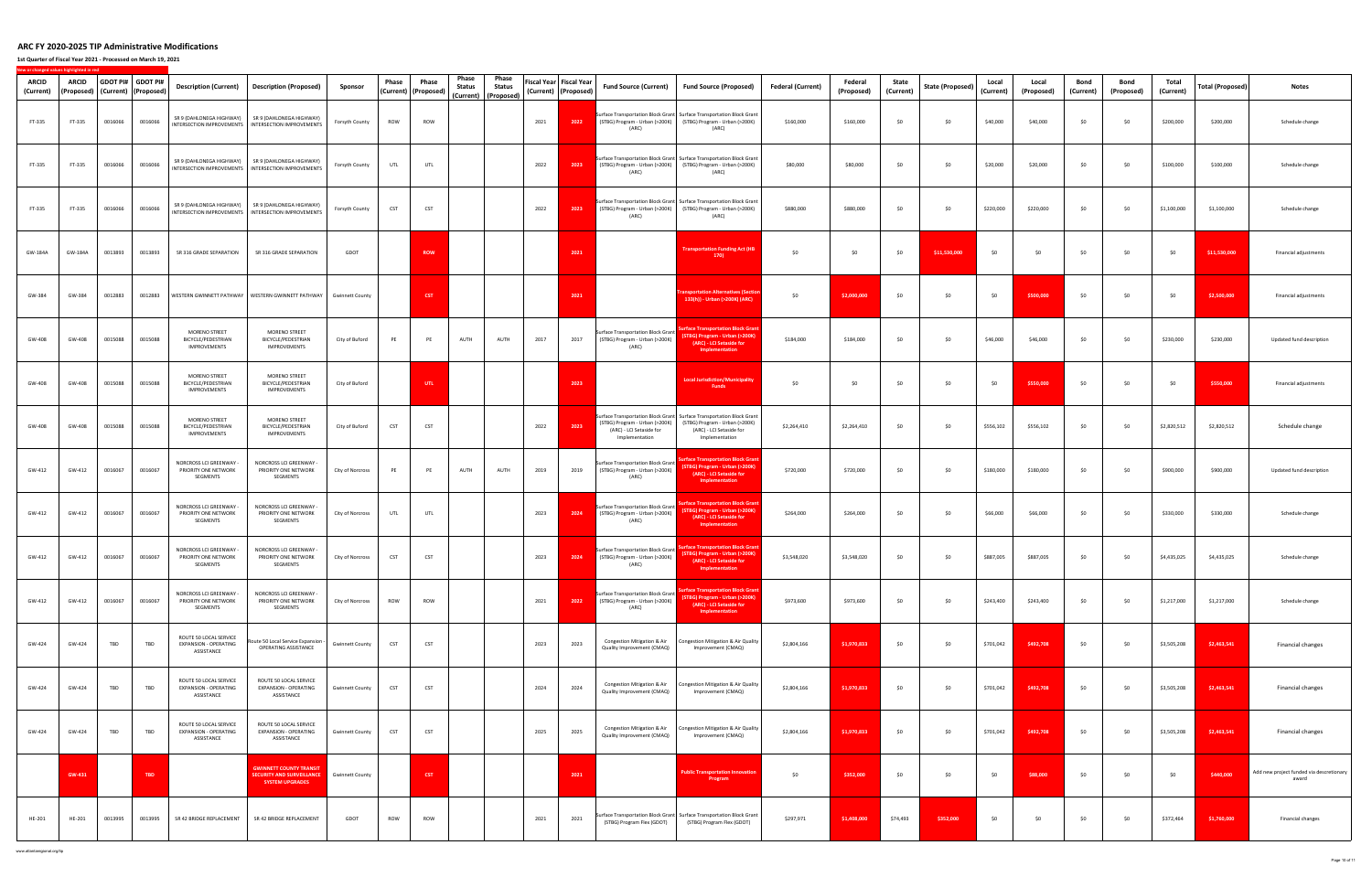**1st Quarter of Fiscal Year 2021 ‐ Processed on March 19, 2021**

**New**

**or changed values highlighted in red**

| ARCID<br>(Current) | <b>ARCID</b><br>(Proposed) | GDOT PI# GDOT PI# | (Current) (Proposed) | <b>Description (Current)</b>                                  | <b>Description (Proposed)</b>                                                                              | Sponsor                | Phase      | Phase<br>(Current)   (Proposed) | Phase<br>Status<br>(Current) | Phase<br>Status<br>(Proposed) |      | Fiscal Year Fiscal Year<br>(Current) (Proposed) | <b>Fund Source (Current)</b>                                                  | <b>Fund Source (Proposed)</b>                                                                                                                         | <b>Federal (Current)</b> | Federal<br>(Proposed) | State<br>(Current) | <b>State (Proposed)</b> | Local<br>(Current) | Local<br>(Proposed) | Bond<br>(Current) | Bond<br>(Proposed) | Total<br>(Current) | <b>Total (Proposed)</b> | <b>Notes</b>                                      |
|--------------------|----------------------------|-------------------|----------------------|---------------------------------------------------------------|------------------------------------------------------------------------------------------------------------|------------------------|------------|---------------------------------|------------------------------|-------------------------------|------|-------------------------------------------------|-------------------------------------------------------------------------------|-------------------------------------------------------------------------------------------------------------------------------------------------------|--------------------------|-----------------------|--------------------|-------------------------|--------------------|---------------------|-------------------|--------------------|--------------------|-------------------------|---------------------------------------------------|
| FT-335             | FT-335                     | 0016066           | 0016066              | SR 9 (DAHLONEGA HIGHWAY)                                      | SR 9 (DAHLONEGA HIGHWAY)<br>INTERSECTION IMPROVEMENTS   INTERSECTION IMPROVEMENTS                          | Forsyth County         | ROW        | ROW                             |                              |                               | 2021 | 2022                                            | (ARC)                                                                         | Surface Transportation Block Grant Surface Transportation Block Grant<br>(STBG) Program - Urban (>200K) (STBG) Program - Urban (>200K)<br>(ARC)       | \$160,000                | \$160,000             | \$0                | \$0                     | \$40,000           | \$40,000            | \$0               | \$0                | \$200,000          | \$200,000               | Schedule change                                   |
| FT-335             | FT-335                     | 0016066           | 0016066              |                                                               | SR 9 (DAHLONEGA HIGHWAY) SR 9 (DAHLONEGA HIGHWAY)<br>INTERSECTION IMPROVEMENTS   INTERSECTION IMPROVEMENTS | Forsyth County         | UTL        | UTL                             |                              |                               | 2022 | 2023                                            | (ARC)                                                                         | Surface Transportation Block Grant Surface Transportation Block Grant<br>(STBG) Program - Urban (>200K) (STBG) Program - Urban (>200K)<br>(ARC)       | \$80,000                 | \$80,000              | \$0                | \$0                     | \$20,000           | \$20,000            | \$0               | \$0                | \$100,000          | \$100,000               | Schedule change                                   |
| FT-335             | FT-335                     | 0016066           | 0016066              | SR 9 (DAHLONEGA HIGHWAY)                                      | SR 9 (DAHLONEGA HIGHWAY)<br>INTERSECTION IMPROVEMENTS   INTERSECTION IMPROVEMENTS                          | Forsyth County         | CST        | CST                             |                              |                               | 2022 | 2023                                            | (ARC)                                                                         | Surface Transportation Block Grant Surface Transportation Block Grant<br>(STBG) Program - Urban (>200K) (STBG) Program - Urban (>200K)<br>(ARC)       | \$880,000                | \$880,000             | \$0                | \$0                     | \$220,000          | \$220,000           | \$0               | \$0                | \$1,100,000        | \$1,100,000             | Schedule change                                   |
| GW-184A            | GW-184A                    | 0013893           | 0013893              | SR 316 GRADE SEPARATION                                       | SR 316 GRADE SEPARATION                                                                                    | GDOT                   |            | <b>ROW</b>                      |                              |                               |      | 2021                                            |                                                                               | <b>Transportation Funding Act (HB</b><br>170)                                                                                                         | \$0                      | \$0                   | \$0                | \$11,530,000            | \$0                | \$0                 | \$0               | \$0                | \$0                | \$11,530,000            | Financial adjustments                             |
| GW-384             | GW-384                     | 0012883           | 0012883              |                                                               | WESTERN GWINNETT PATHWAY   WESTERN GWINNETT PATHWAY   Gwinnett County                                      |                        |            | <b>CST</b>                      |                              |                               |      | 2021                                            |                                                                               | ransportation Alternatives (Sectio<br>133(h)) - Urban (>200K) (ARC)                                                                                   | \$0                      | \$2,000,000           | \$0                | \$0                     | \$0                | \$500,000           | \$0               | \$0                | \$0                | \$2,500,000             | Financial adjustments                             |
| GW-408             | GW-408                     | 0015088           | 0015088              | MORENO STREET<br>BICYCLE/PEDESTRIAN<br><b>IMPROVEMENTS</b>    | MORENO STREET<br>BICYCLE/PEDESTRIAN<br><b>IMPROVEMENTS</b>                                                 | City of Buford         | PE         | PE                              | AUTH                         | AUTH                          | 2017 | 2017                                            | Surface Transportation Block Grant<br>(STBG) Program - Urban (>200K)<br>(ARC) | urface Transportation Block Grant<br>(STBG) Program - Urban (>200K)<br>(ARC) - LCI Setaside for<br>Implementation                                     | \$184,000                | \$184,000             | \$0                | \$0                     | \$46,000           | \$46,000            | \$0               | \$0                | \$230,000          | \$230,000               | Updated fund description                          |
| GW-408             | GW-408                     | 0015088           | 0015088              | MORENO STREET<br>BICYCLE/PEDESTRIAN<br><b>IMPROVEMENTS</b>    | MORENO STREET<br>BICYCLE/PEDESTRIAN<br><b>IMPROVEMENTS</b>                                                 | City of Buford         |            | UTL.                            |                              |                               |      | 2023                                            |                                                                               | <b>Local Jurisdiction/Municipality</b><br><b>Funds</b>                                                                                                | \$0                      | \$0                   | \$0                | \$0                     | \$0                | \$550,000           | \$0               | \$0                | SO.                | \$550,000               | Financial adjustments                             |
| GW-408             | GW-408                     | 0015088           | 0015088              | MORENO STREET<br>BICYCLE/PEDESTRIAN<br><b>IMPROVEMENTS</b>    | MORENO STREET<br>BICYCLE/PEDESTRIAN<br>IMPROVEMENTS                                                        | City of Buford         | CST        | CST                             |                              |                               | 2022 | 2023                                            | (STBG) Program - Urban (>200K)<br>(ARC) - LCI Setaside for<br>Implementation  | Surface Transportation Block Grant Surface Transportation Block Grant<br>(STBG) Program - Urban (>200K)<br>(ARC) - LCI Setaside for<br>Implementation | \$2,264,410              | \$2,264,410           | \$0                | \$0                     | \$556,102          | \$556,102           | \$0               | \$0                | \$2,820,512        | \$2,820,512             | Schedule change                                   |
| GW-412             | GW-412                     | 0016067           | 0016067              | NORCROSS LCI GREENWAY -<br>PRIORITY ONE NETWORK<br>SEGMENTS   | NORCROSS LCI GREENWAY -<br>PRIORITY ONE NETWORK<br>SEGMENTS                                                | City of Norcross       | PE         | PE                              | AUTH                         | AUTH                          | 2019 | 2019                                            | Surface Transportation Block Grant<br>(STBG) Program - Urban (>200K)<br>(ARC) | face Transportation Block Grar<br><b>STBG) Program - Urban (&gt;200K)</b><br>(ARC) - LCI Setaside for<br>Implementation                               | \$720,000                | \$720,000             | \$0                | \$0                     | \$180,000          | \$180,000           | \$0               | \$0                | \$900,000          | \$900,000               | Updated fund description                          |
| GW-412             | GW-412                     | 0016067           | 0016067              | NORCROSS LCI GREENWAY -<br>PRIORITY ONE NETWORK<br>SEGMENTS   | NORCROSS LCI GREENWAY -<br>PRIORITY ONE NETWORK<br>SEGMENTS                                                | City of Norcross       | UTL        | UTL                             |                              |                               | 2023 | 2024                                            | Surface Transportation Block Grant<br>(STBG) Program - Urban (>200K)<br>(ARC) | <b>Ice Transportation Block Gra</b><br><b>STBG) Program - Urban (&gt;200K)</b><br>(ARC) - LCI Setaside for<br>Implementation                          | \$264,000                | \$264,000             | \$0                | \$0                     | \$66,000           | \$66,000            | \$0               | \$0                | \$330,000          | \$330,000               | Schedule change                                   |
| GW-412             | GW-412                     | 0016067           | 0016067              | NORCROSS LCI GREENWAY -<br>PRIORITY ONE NETWORK<br>SEGMENTS   | NORCROSS LCI GREENWAY<br>PRIORITY ONE NETWORK<br>SEGMENTS                                                  | City of Norcross       | CST        | CST                             |                              |                               | 2023 | 2024                                            | Surface Transportation Block Grant<br>(STBG) Program - Urban (>200K)<br>(ARC) | face Transportation Block Gra<br><b>STBG) Program - Urban (&gt;200K)</b><br>(ARC) - LCI Setaside for<br>Implementation                                | \$3,548,020              | \$3,548,020           | \$0                | \$0                     | \$887,005          | \$887,005           | \$0               | \$0                | \$4,435,025        | \$4,435,025             | Schedule change                                   |
| GW-412             | GW-412                     | 0016067           | 0016067              | NORCROSS LCI GREENWAY -<br>PRIORITY ONE NETWORK<br>SEGMENTS   | NORCROSS LCI GREENWAY -<br>PRIORITY ONE NETWORK<br>SEGMENTS                                                | City of Norcross       | <b>ROW</b> | ROW                             |                              |                               | 2021 | 2022                                            | Surface Transportation Block Grant<br>(STBG) Program - Urban (>200K)<br>(ARC) | <u>Irface Transportation Block Gran</u><br>STBG) Program - Urban (>200K)<br>(ARC) - LCI Setaside for<br>Implementation                                | \$973,600                | \$973,600             | \$0                | \$0                     | \$243,400          | \$243,400           | \$0               | \$0                | \$1,217,000        | \$1,217,000             | Schedule change                                   |
| GW-424             | GW-424                     | TBD               | TBD                  | ROUTE 50 LOCAL SERVICE<br>EXPANSION - OPERATING<br>ASSISTANCE | Route 50 Local Service Expansion -<br>OPERATING ASSISTANCE                                                 | <b>Gwinnett County</b> | CST        | CST                             |                              |                               | 2023 | 2023                                            | Quality Improvement (CMAQ)                                                    | Congestion Mitigation & Air Congestion Mitigation & Air Quality<br>Improvement (CMAQ)                                                                 | \$2,804,166              | \$1,970,833           | \$0                | \$0                     | \$701,042          | \$492,708           | \$0               | \$0                | \$3,505,208        | \$2,463,541             | Financial changes                                 |
| GW-424             | GW-424                     | TBD               | TBD                  | ROUTE 50 LOCAL SERVICE<br>EXPANSION - OPERATING<br>ASSISTANCE | ROUTE 50 LOCAL SERVICE<br>EXPANSION - OPERATING<br>ASSISTANCE                                              | <b>Gwinnett County</b> | CST        | CST                             |                              |                               | 2024 | 2024                                            | Quality Improvement (CMAQ)                                                    | Congestion Mitigation & Air Congestion Mitigation & Air Quality<br>Improvement (CMAQ)                                                                 | \$2,804,166              | \$1,970,833           | \$0                | \$0                     | \$701,042          | \$492,708           | \$0               | \$0                | \$3,505,208        | \$2,463,541             | Financial changes                                 |
| GW-424             | GW-424                     | TBD               | TBD                  | ROUTE 50 LOCAL SERVICE<br>EXPANSION - OPERATING<br>ASSISTANCE | ROUTE 50 LOCAL SERVICE<br>EXPANSION - OPERATING<br>ASSISTANCE                                              | <b>Gwinnett County</b> | CST        | CST                             |                              |                               | 2025 | 2025                                            | Congestion Mitigation & Air<br>Quality Improvement (CMAQ)                     | Congestion Mitigation & Air Quality<br>Improvement (CMAQ)                                                                                             | \$2,804,166              | \$1,970,833           | \$0                | \$0                     | \$701,042          | \$492,708           | \$0               | \$0                | \$3,505,208        | \$2,463,541             | Financial changes                                 |
|                    | GW-431                     |                   | TBD                  |                                                               | <b>GWINNETT COUNTY TRANSIT</b><br><b>SECURITY AND SURVEILLANCE</b><br><b>SYSTEM UPGRADES</b>               | <b>Gwinnett County</b> |            | CST                             |                              |                               |      | 2021                                            |                                                                               | <b>Public Transportation Innovati</b><br>Program                                                                                                      | \$0                      | \$352,000             | \$0                | \$0                     | \$0                | \$88,000            | \$0               | \$0                | \$0                | \$440,000               | Add new project funded via descretionary<br>award |
| HE-201             | HE-201                     | 0013995           | 0013995              | SR 42 BRIDGE REPLACEMENT                                      | SR 42 BRIDGE REPLACEMENT                                                                                   | GDOT                   | ROW        | ROW                             |                              |                               | 2021 | 2021                                            | (STBG) Program Flex (GDOT)                                                    | Surface Transportation Block Grant Surface Transportation Block Grant<br>(STBG) Program Flex (GDOT)                                                   | \$297,971                | \$1,408,000           | \$74,493           | \$352,000               | \$0                | \$0                 | \$0               | \$0                | \$372,464          | \$1,760,000             | Financial changes                                 |